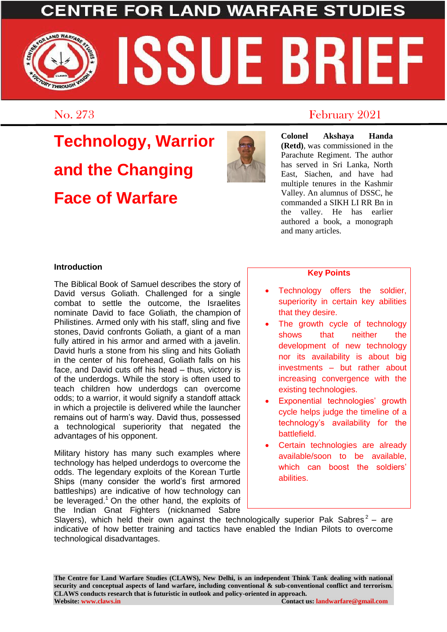### **LAND WARFARE S**

# WARFARE SSUE BRIEF THROUGH

# **Technology, Warrior and the Changing Face of Warfare**



### No. 273 February 2021

**Colonel Akshaya Handa (Retd)**, was commissioned in the Parachute Regiment. The author has served in Sri Lanka, North East, Siachen, and have had multiple tenures in the Kashmir Valley. An alumnus of DSSC, he commanded a SIKH LI RR Bn in the valley. He has earlier authored a book, a monograph and many articles.

#### **Introduction**

The Biblical Book of Samuel describes the story of David versus Goliath. Challenged for a single combat to settle the outcome, the Israelites nominate David to face Goliath, the champion of Philistines. Armed only with his staff, sling and five stones, David confronts Goliath, a giant of a man fully attired in his armor and armed with a javelin. David hurls a stone from his sling and hits Goliath in the center of his forehead, Goliath falls on his face, and David cuts off his head – thus, victory is of the underdogs. While the story is often used to teach children how underdogs can overcome odds; to a warrior, it would signify a standoff attack in which a projectile is delivered while the launcher remains out of harm's way. David thus, possessed a technological superiority that negated the advantages of his opponent.

Military history has many such examples where technology has helped underdogs to overcome the odds. The legendary exploits of the Korean Turtle Ships (many consider the world's first armored battleships) are indicative of how technology can be leveraged.<sup>1</sup> On the other hand, the exploits of the Indian Gnat Fighters (nicknamed Sabre

#### **Key Points**

- Technology offers the soldier, superiority in certain key abilities that they desire.
- The growth cycle of technology shows that neither the development of new technology nor its availability is about big investments – but rather about increasing convergence with the existing technologies.
- Exponential technologies' growth cycle helps judge the timeline of a technology's availability for the battlefield.
- Certain technologies are already available/soon to be available, which can boost the soldiers' abilities.

Slayers), which held their own against the technologically superior Pak Sabres<sup>2</sup> – are indicative of how better training and tactics have enabled the Indian Pilots to overcome technological disadvantages.

**The Centre for Land Warfare Studies (CLAWS), New Delhi, is an independent Think Tank dealing with national security and conceptual aspects of land warfare, including conventional & sub-conventional conflict and terrorism. CLAWS conducts research that is futuristic in outlook and policy-oriented in approach. Contact us: landwarfare@gmail.com**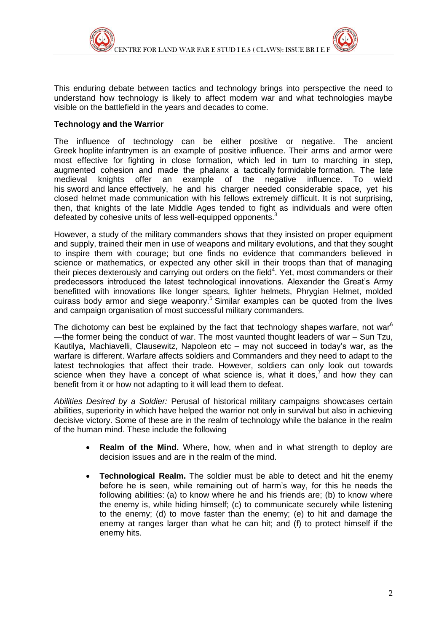

This enduring debate between tactics and technology brings into perspective the need to understand how technology is likely to affect modern war and what technologies maybe visible on the battlefield in the years and decades to come.

#### **Technology and the Warrior**

The influence of technology can be either positive or negative. The ancient Greek hoplite infantrymen is an example of positive influence. Their arms and armor were most effective for fighting in close formation, which led in turn to marching in step, augmented cohesion and made the phalanx a tactically formidable formation. The late medieval knights offer an example of the negative influence. To wield his sword and lance effectively, he and his charger needed considerable space, yet his closed helmet made communication with his fellows extremely difficult. It is not surprising, then, that knights of the late Middle Ages tended to fight as individuals and were often defeated by cohesive units of less well-equipped opponents.<sup>3</sup>

However, a study of the military commanders shows that they insisted on proper equipment and supply, trained their men in use of weapons and military evolutions, and that they sought to inspire them with courage; but one finds no evidence that commanders believed in science or mathematics, or expected any other skill in their troops than that of managing their pieces dexterously and carrying out orders on the field<sup>4</sup>. Yet, most commanders or their predecessors introduced the latest technological innovations. Alexander the Great's Army benefitted with innovations like longer spears, lighter helmets, Phrygian Helmet, molded cuirass body armor and siege weaponry.<sup>5</sup> Similar examples can be quoted from the lives and campaign organisation of most successful military commanders.

The dichotomy can best be explained by the fact that technology shapes warfare, not war<sup>6</sup> —the former being the conduct of war. The most vaunted thought leaders of war – Sun Tzu, Kautilya, Machiavelli, Clausewitz, Napoleon etc – may not succeed in today's war, as the warfare is different. Warfare affects soldiers and Commanders and they need to adapt to the latest technologies that affect their trade. However, soldiers can only look out towards science when they have a concept of what science is, what it does,<sup>7</sup> and how they can benefit from it or how not adapting to it will lead them to defeat.

*Abilities Desired by a Soldier:* Perusal of historical military campaigns showcases certain abilities, superiority in which have helped the warrior not only in survival but also in achieving decisive victory. Some of these are in the realm of technology while the balance in the realm of the human mind. These include the following

- **Realm of the Mind.** Where, how, when and in what strength to deploy are decision issues and are in the realm of the mind.
- **Technological Realm.** The soldier must be able to detect and hit the enemy before he is seen, while remaining out of harm's way, for this he needs the following abilities: (a) to know where he and his friends are; (b) to know where the enemy is, while hiding himself; (c) to communicate securely while listening to the enemy; (d) to move faster than the enemy; (e) to hit and damage the enemy at ranges larger than what he can hit; and (f) to protect himself if the enemy hits.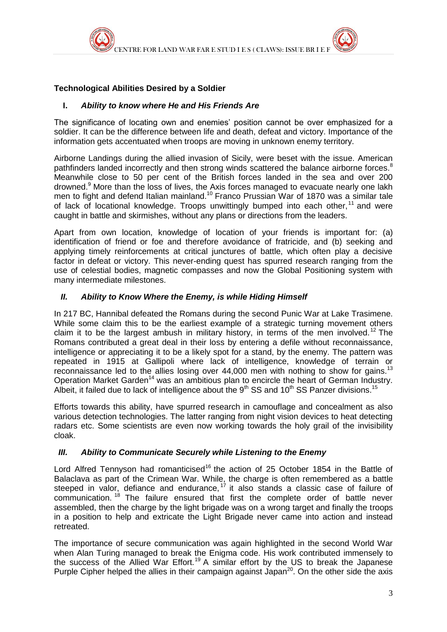

#### **Technological Abilities Desired by a Soldier**

#### **I.** *Ability to know where He and His Friends Are*

The significance of locating own and enemies' position cannot be over emphasized for a soldier. It can be the difference between life and death, defeat and victory. Importance of the information gets accentuated when troops are moving in unknown enemy territory.

Airborne Landings during the allied invasion of Sicily, were beset with the issue. American pathfinders landed incorrectly and then strong winds scattered the balance airborne forces.<sup>8</sup> Meanwhile close to 50 per cent of the British forces landed in the sea and over 200 drowned.<sup>9</sup> More than the loss of lives, the Axis forces managed to evacuate nearly one lakh men to fight and defend Italian mainland.<sup>10</sup> Franco Prussian War of 1870 was a similar tale of lack of locational knowledge. Troops unwittingly bumped into each other,  $11$  and were caught in battle and skirmishes, without any plans or directions from the leaders.

Apart from own location, knowledge of location of your friends is important for: (a) identification of friend or foe and therefore avoidance of fratricide, and (b) seeking and applying timely reinforcements at critical junctures of battle, which often play a decisive factor in defeat or victory. This never-ending quest has spurred research ranging from the use of celestial bodies, magnetic compasses and now the Global Positioning system with many intermediate milestones.

#### *II. Ability to Know Where the Enemy, is while Hiding Himself*

In 217 BC, Hannibal defeated the Romans during the second Punic War at Lake Trasimene. While some claim this to be the earliest example of a strategic turning movement others claim it to be the largest ambush in military history, in terms of the men involved.<sup>12</sup> The Romans contributed a great deal in their loss by entering a defile without reconnaissance, intelligence or appreciating it to be a likely spot for a stand, by the enemy. The pattern was repeated in 1915 at Gallipoli where lack of intelligence, knowledge of terrain or reconnaissance led to the allies losing over  $44,000$  men with nothing to show for gains.<sup>13</sup> Operation Market Garden<sup>14</sup> was an ambitious plan to encircle the heart of German Industry. Albeit, it failed due to lack of intelligence about the  $9<sup>th</sup>$  SS and 10<sup>th</sup> SS Panzer divisions.<sup>15</sup>

Efforts towards this ability, have spurred research in camouflage and concealment as also various detection technologies. The latter ranging from night vision devices to heat detecting radars etc. Some scientists are even now working towards the holy grail of the invisibility cloak.

#### *III. Ability to Communicate Securely while Listening to the Enemy*

Lord Alfred Tennyson had romanticised<sup>16</sup> the action of 25 October 1854 in the Battle of Balaclava as part of the Crimean War. While, the charge is often remembered as a battle steeped in valor, defiance and endurance,  $17$  it also stands a classic case of failure of communication. <sup>18</sup> The failure ensured that first the complete order of battle never assembled, then the charge by the light brigade was on a wrong target and finally the troops in a position to help and extricate the Light Brigade never came into action and instead retreated.

The importance of secure communication was again highlighted in the second World War when Alan Turing managed to break the Enigma code. His work contributed immensely to the success of the Allied War Effort.<sup>19</sup> A similar effort by the US to break the Japanese Purple Cipher helped the allies in their campaign against Japan<sup>20</sup>. On the other side the axis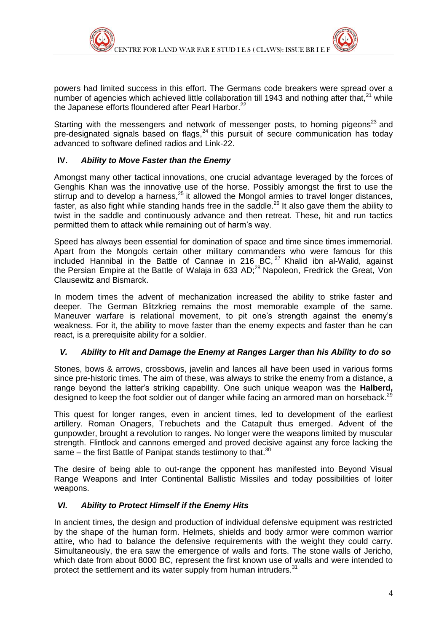powers had limited success in this effort. The Germans code breakers were spread over a number of agencies which achieved little collaboration till 1943 and nothing after that,  $21$  while the Japanese efforts floundered after Pearl Harbor.<sup>22</sup>

Starting with the messengers and network of messenger posts, to homing pigeons<sup>23</sup> and pre-designated signals based on flags, $^{24}$  this pursuit of secure communication has today advanced to software defined radios and Link-22.

#### **IV.** *Ability to Move Faster than the Enemy*

Amongst many other tactical innovations, one crucial advantage leveraged by the forces of Genghis Khan was the innovative use of the horse. Possibly amongst the first to use the stirrup and to develop a harness,<sup>25</sup> it allowed the Mongol armies to travel longer distances, faster, as also fight while standing hands free in the saddle.<sup>26</sup> It also gave them the ability to twist in the saddle and continuously advance and then retreat. These, hit and run tactics permitted them to attack while remaining out of harm's way.

Speed has always been essential for domination of space and time since times immemorial. Apart from the Mongols certain other military commanders who were famous for this included Hannibal in the Battle of Cannae in 216 BC,  $27$  Khalid ibn al-Walid, against the Persian Empire at the Battle of Walaja in 633 AD;<sup>28</sup> Napoleon, Fredrick the Great, Von Clausewitz and Bismarck.

In modern times the advent of mechanization increased the ability to strike faster and deeper. The German Blitzkrieg remains the most memorable example of the same. Maneuver warfare is relational movement, to pit one's strength against the enemy's weakness. For it, the ability to move faster than the enemy expects and faster than he can react, is a prerequisite ability for a soldier.

#### *V. Ability to Hit and Damage the Enemy at Ranges Larger than his Ability to do so*

Stones, bows & arrows, crossbows, javelin and lances all have been used in various forms since pre-historic times. The aim of these, was always to strike the enemy from a distance, a range beyond the latter's striking capability. One such unique weapon was the **Halberd,** designed to keep the foot soldier out of danger while facing an armored man on horseback.<sup>29</sup>

This quest for longer ranges, even in ancient times, led to development of the earliest artillery. Roman Onagers, Trebuchets and the Catapult thus emerged. Advent of the gunpowder, brought a revolution to ranges. No longer were the weapons limited by muscular strength. Flintlock and cannons emerged and proved decisive against any force lacking the same – the first Battle of Panipat stands testimony to that.<sup>30</sup>

The desire of being able to out-range the opponent has manifested into Beyond Visual Range Weapons and Inter Continental Ballistic Missiles and today possibilities of loiter weapons.

#### *VI. Ability to Protect Himself if the Enemy Hits*

In ancient times, the design and production of individual defensive equipment was restricted by the shape of the human form. Helmets, shields and body armor were common warrior attire, who had to balance the defensive requirements with the weight they could carry. Simultaneously, the era saw the emergence of walls and forts. The stone walls of Jericho, which date from about 8000 BC, represent the first known use of walls and were intended to protect the settlement and its water supply from human intruders.<sup>31</sup>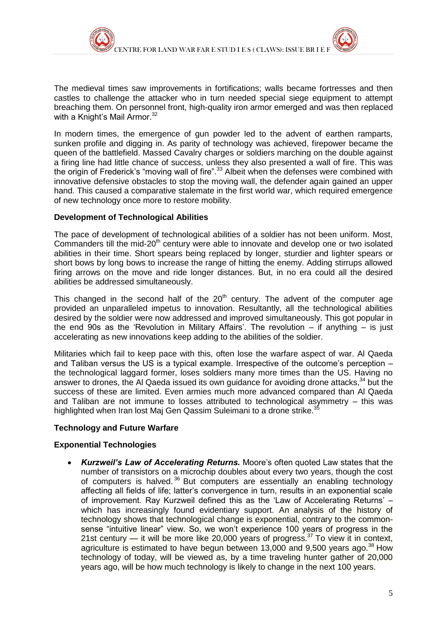

The medieval times saw improvements in fortifications; walls became fortresses and then castles to challenge the attacker who in turn needed special siege equipment to attempt breaching them. On personnel front, high-quality iron armor emerged and was then replaced with a Knight's Mail Armor. $32$ 

In modern times, the emergence of gun powder led to the advent of earthen ramparts, sunken profile and digging in. As parity of technology was achieved, firepower became the queen of the battlefield. Massed Cavalry charges or soldiers marching on the double against a firing line had little chance of success, unless they also presented a wall of fire. This was the origin of Frederick's "moving wall of fire".<sup>33</sup> Albeit when the defenses were combined with innovative defensive obstacles to stop the moving wall, the defender again gained an upper hand. This caused a comparative stalemate in the first world war, which required emergence of new technology once more to restore mobility.

#### **Development of Technological Abilities**

The pace of development of technological abilities of a soldier has not been uniform. Most, Commanders till the mid-20<sup>th</sup> century were able to innovate and develop one or two isolated abilities in their time. Short spears being replaced by longer, sturdier and lighter spears or short bows by long bows to increase the range of hitting the enemy. Adding stirrups allowed firing arrows on the move and ride longer distances. But, in no era could all the desired abilities be addressed simultaneously.

This changed in the second half of the  $20<sup>th</sup>$  century. The advent of the computer age provided an unparalleled impetus to innovation. Resultantly, all the technological abilities desired by the soldier were now addressed and improved simultaneously. This got popular in the end 90s as the 'Revolution in Military Affairs'. The revolution  $-$  if anything  $-$  is just accelerating as new innovations keep adding to the abilities of the soldier.

Militaries which fail to keep pace with this, often lose the warfare aspect of war. Al Qaeda and Taliban versus the US is a typical example. Irrespective of the outcome's perception – the technological laggard former, loses soldiers many more times than the US. Having no answer to drones, the AI Qaeda issued its own guidance for avoiding drone attacks.<sup>34</sup> but the success of these are limited. Even armies much more advanced compared than Al Qaeda and Taliban are not immune to losses attributed to technological asymmetry – this was highlighted when Iran lost Maj Gen Qassim Suleimani to a drone strike.<sup>3</sup>

#### **Technology and Future Warfare**

#### **Exponential Technologies**

 *Kurzweil's Law of Accelerating Returns.* Moore's often quoted Law states that the number of transistors on a microchip doubles about every two years, though the cost of computers is halved. <sup>36</sup> But computers are essentially an enabling technology affecting all fields of life; latter's convergence in turn, results in an exponential scale of improvement. Ray Kurzweil defined this as the 'Law of Accelerating Returns' – which has increasingly found evidentiary support. An analysis of the history of technology shows that technological change is exponential, contrary to the commonsense "intuitive linear" view. So, we won't experience 100 years of progress in the 21st century — it will be more like 20,000 years of progress.<sup>37</sup> To view it in context, agriculture is estimated to have begun between  $13,000$  and  $9,500$  years ago.<sup>38</sup> How technology of today, will be viewed as, by a time traveling hunter gather of 20,000 years ago, will be how much technology is likely to change in the next 100 years.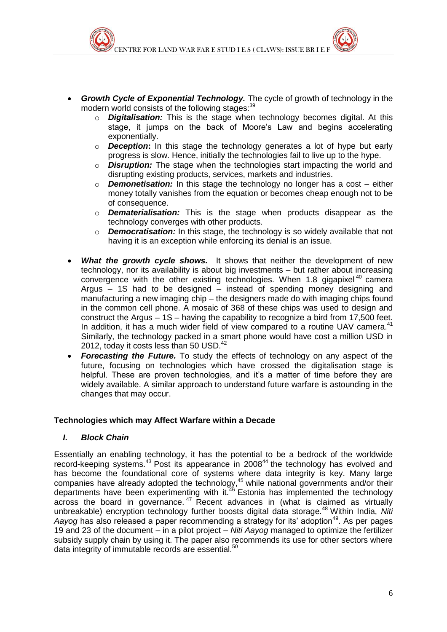- *Growth Cycle of Exponential Technology.* The cycle of growth of technology in the modern world consists of the following stages:<sup>39</sup>
	- o *Digitalisation:* This is the stage when technology becomes digital. At this stage, it jumps on the back of Moore's Law and begins accelerating exponentially.
	- o *Deception***:** In this stage the technology generates a lot of hype but early progress is slow. Hence, initially the technologies fail to live up to the hype.
	- o *Disruption:* The stage when the technologies start impacting the world and disrupting existing products, services, markets and industries.
	- o *Demonetisation:* In this stage the technology no longer has a cost either money totally vanishes from the equation or becomes cheap enough not to be of consequence.
	- o *Dematerialisation:* This is the stage when products disappear as the technology converges with other products.
	- o *Democratisation:* In this stage, the technology is so widely available that not having it is an exception while enforcing its denial is an issue.
- *What the growth cycle shows.* It shows that neither the development of new technology, nor its availability is about big investments – but rather about increasing convergence with the other existing technologies. When  $1.8$  gigapixel<sup>40</sup> camera Argus – 1S had to be designed – instead of spending money designing and manufacturing a new imaging chip – the designers made do with imaging chips found in the common cell phone. A mosaic of 368 of these chips was used to design and construct the Argus – 1S – having the capability to recognize a bird from 17,500 feet. In addition, it has a much wider field of view compared to a routine UAV camera.<sup>41</sup> Similarly, the technology packed in a smart phone would have cost a million USD in 2012, today it costs less than 50 USD.<sup>42</sup>
- *Forecasting the Future.* To study the effects of technology on any aspect of the future, focusing on technologies which have crossed the digitalisation stage is helpful. These are proven technologies, and it's a matter of time before they are widely available. A similar approach to understand future warfare is astounding in the changes that may occur.

#### **Technologies which may Affect Warfare within a Decade**

#### *I. Block Chain*

Essentially an enabling technology, it has the potential to be a bedrock of the worldwide record-keeping systems.<sup>43</sup> Post its appearance in 2008<sup>44</sup> the technology has evolved and has become the foundational core of systems where data integrity is key. Many large companies have already adopted the technology, $45$  while national governments and/or their departments have been experimenting with it.<sup>46</sup> Estonia has implemented the technology across the board in governance.<sup>47</sup> Recent advances in (what is claimed as virtually unbreakable) encryption technology further boosts digital data storage.<sup>48</sup> Within India, Niti Aayog has also released a paper recommending a strategy for its' adoption<sup>49</sup>. As per pages 19 and 23 of the document – in a pilot project – *Niti Aayog* managed to optimize the fertilizer subsidy supply chain by using it. The paper also recommends its use for other sectors where data integrity of immutable records are essential.<sup>50</sup>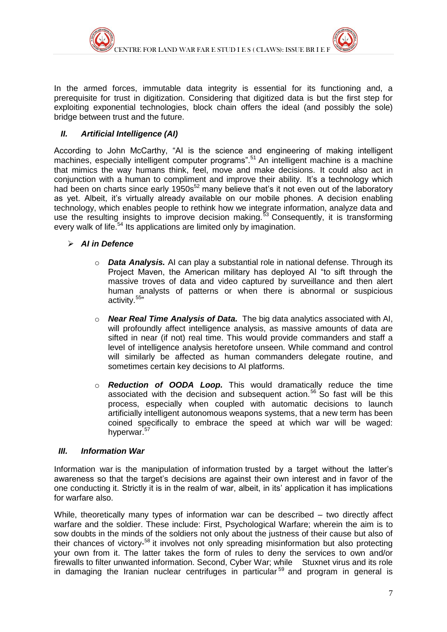

In the armed forces, immutable data integrity is essential for its functioning and, a prerequisite for trust in digitization. Considering that digitized data is but the first step for exploiting exponential technologies, block chain offers the ideal (and possibly the sole) bridge between trust and the future.

#### *II. Artificial Intelligence (AI)*

According to John McCarthy, "AI is the science and engineering of making intelligent machines, especially intelligent computer programs".<sup>51</sup> An intelligent machine is a machine that mimics the way humans think, feel, move and make decisions. It could also act in conjunction with a human to compliment and improve their ability. It's a technology which had been on charts since early 1950s<sup>52</sup> many believe that's it not even out of the laboratory as yet. Albeit, it's virtually already available on our mobile phones. A decision enabling technology, which enables people to rethink how we integrate information, analyze data and use the resulting insights to improve decision making.<sup>53</sup> Consequently, it is transforming every walk of life.<sup>54</sup> Its applications are limited only by imagination.

#### *AI in Defence*

- o *Data Analysis.* AI can play a substantial role in national defense. Through its Project Maven, the American military has deployed AI "to sift through the massive troves of data and video captured by surveillance and then alert human analysts of patterns or when there is abnormal or suspicious activity.<sup>55</sup>"
- o *Near Real Time Analysis of Data.* The big data analytics associated with AI, will profoundly affect intelligence analysis, as massive amounts of data are sifted in near (if not) real time. This would provide commanders and staff a level of intelligence analysis heretofore unseen. While command and control will similarly be affected as human commanders delegate routine, and sometimes certain key decisions to AI platforms.
- o *Reduction of OODA Loop.* This would dramatically reduce the time associated with the decision and subsequent action.<sup>56</sup> So fast will be this process, especially when coupled with automatic decisions to launch artificially intelligent autonomous weapons systems, that a new term has been coined specifically to embrace the speed at which war will be waged: hyperwar.<sup>57</sup>

#### *III. Information War*

Information war is the manipulation of information trusted by a target without the latter's awareness so that the target's decisions are against their own interest and in favor of the one conducting it. Strictly it is in the realm of war, albeit, in its' application it has implications for warfare also.

While, theoretically many types of information war can be described – two directly affect warfare and the soldier. These include: First, Psychological Warfare; wherein the aim is to sow doubts in the minds of the soldiers not only about the justness of their cause but also of their chances of victory-<sup>58</sup> it involves not only spreading misinformation but also protecting your own from it. The latter takes the form of rules to deny the services to own and/or firewalls to filter unwanted information. Second, Cyber War; while Stuxnet virus and its role in damaging the Iranian nuclear centrifuges in particular<sup>59</sup> and program in general is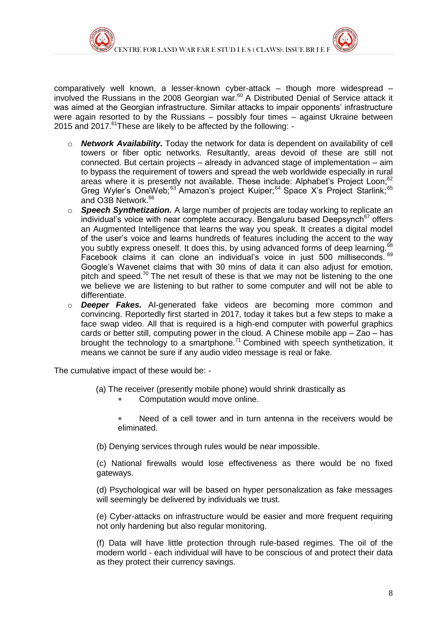

comparatively well known, a lesser-known cyber-attack – though more widespread – involved the Russians in the 2008 Georgian war.<sup>60</sup> A Distributed Denial of Service attack it was aimed at the Georgian infrastructure. Similar attacks to impair opponents' infrastructure were again resorted to by the Russians – possibly four times – against Ukraine between 2015 and 2017. $^{61}$ These are likely to be affected by the following: -

- o *Network Availability.* Today the network for data is dependent on availability of cell towers or fiber optic networks. Resultantly, areas devoid of these are still not connected. But certain projects – already in advanced stage of implementation – aim to bypass the requirement of towers and spread the web worldwide especially in rural areas where it is presently not available. These include: Alphabet's Proiect Loon:<sup>62</sup> Greg Wyler's OneWeb; $^{63}$  Amazon's project Kuiper; $^{64}$  Space X's Project Starlink; $^{65}$ and O3B Network.<sup>66</sup>
- o *Speech Synthetization.* A large number of projects are today working to replicate an individual's voice with near complete accuracy. Bengaluru based Deepsynch $67$  offers an Augmented Intelligence that learns the way you speak. It creates a digital model of the user's voice and learns hundreds of features including the accent to the way you subtly express oneself. It does this, by using advanced forms of deep learning. Facebook claims it can clone an individual's voice in just 500 milliseconds. <sup>69</sup> Google's Wavenet claims that with 30 mins of data it can also adjust for emotion, pitch and speed.<sup>70</sup> The net result of these is that we may not be listening to the one we believe we are listening to but rather to some computer and will not be able to differentiate.
- o *Deeper Fakes.* AI-generated fake videos are becoming more common and convincing. Reportedly first started in 2017, today it takes but a few steps to make a face swap video. All that is required is a high-end computer with powerful graphics cards or better still, computing power in the cloud. A Chinese mobile app – Zao – has brought the technology to a smartphone.<sup>71</sup> Combined with speech synthetization, it means we cannot be sure if any audio video message is real or fake.

The cumulative impact of these would be: -

- (a) The receiver (presently mobile phone) would shrink drastically as
	- Computation would move online.
	- Need of a cell tower and in turn antenna in the receivers would be eliminated.
- (b) Denying services through rules would be near impossible.

(c) National firewalls would lose effectiveness as there would be no fixed gateways.

(d) Psychological war will be based on hyper personalization as fake messages will seemingly be delivered by individuals we trust.

(e) Cyber-attacks on infrastructure would be easier and more frequent requiring not only hardening but also regular monitoring.

(f) Data will have little protection through rule-based regimes. The oil of the modern world - each individual will have to be conscious of and protect their data as they protect their currency savings.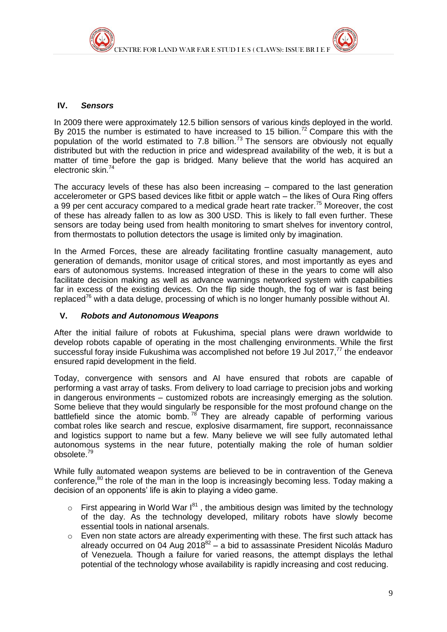

#### **IV.** *Sensors*

In 2009 there were approximately 12.5 billion sensors of various kinds deployed in the world. By 2015 the number is estimated to have increased to 15 billion.<sup>72</sup> Compare this with the population of the world estimated to 7.8 billion.<sup>73</sup> The sensors are obviously not equally distributed but with the reduction in price and widespread availability of the web, it is but a matter of time before the gap is bridged. Many believe that the world has acquired an electronic skin.<sup>74</sup>

The accuracy levels of these has also been increasing – compared to the last generation accelerometer or GPS based devices like fitbit or apple watch – the likes of Oura Ring offers a 99 per cent accuracy compared to a medical grade heart rate tracker.<sup>75</sup> Moreover, the cost of these has already fallen to as low as 300 USD. This is likely to fall even further. These sensors are today being used from health monitoring to smart shelves for inventory control, from thermostats to pollution detectors the usage is limited only by imagination.

In the Armed Forces, these are already facilitating frontline casualty management, auto generation of demands, monitor usage of critical stores, and most importantly as eyes and ears of autonomous systems. Increased integration of these in the years to come will also facilitate decision making as well as advance warnings networked system with capabilities far in excess of the existing devices. On the flip side though, the fog of war is fast being replaced<sup> $76$ </sup> with a data deluge, processing of which is no longer humanly possible without AI.

#### **V.** *Robots and Autonomous Weapons*

After the initial failure of robots at Fukushima, special plans were drawn worldwide to develop robots capable of operating in the most challenging environments. While the first successful foray inside Fukushima was accomplished not before 19 Jul 2017.<sup>77</sup> the endeavor ensured rapid development in the field.

Today, convergence with sensors and AI have ensured that robots are capable of performing a vast array of tasks. From delivery to load carriage to precision jobs and working in dangerous environments – customized robots are increasingly emerging as the solution. Some believe that they would singularly be responsible for the most profound change on the battlefield since the atomic bomb.  $78$  They are already capable of performing various combat roles like search and rescue, explosive disarmament, fire support, reconnaissance and logistics support to name but a few. Many believe we will see fully automated lethal autonomous systems in the near future, potentially making the role of human soldier obsolete.<sup>79</sup>

While fully automated weapon systems are believed to be in contravention of the Geneva conference, $80$  the role of the man in the loop is increasingly becoming less. Today making a decision of an opponents' life is akin to playing a video game.

- $\circ$  First appearing in World War  $I^{81}$ , the ambitious design was limited by the technology of the day. As the technology developed, military robots have slowly become essential tools in national arsenals.
- o Even non state actors are already experimenting with these. The first such attack has already occurred on 04 Aug 2018 $^{82}$  – a bid to assassinate President Nicolás Maduro of Venezuela. Though a failure for varied reasons, the attempt displays the lethal potential of the technology whose availability is rapidly increasing and cost reducing.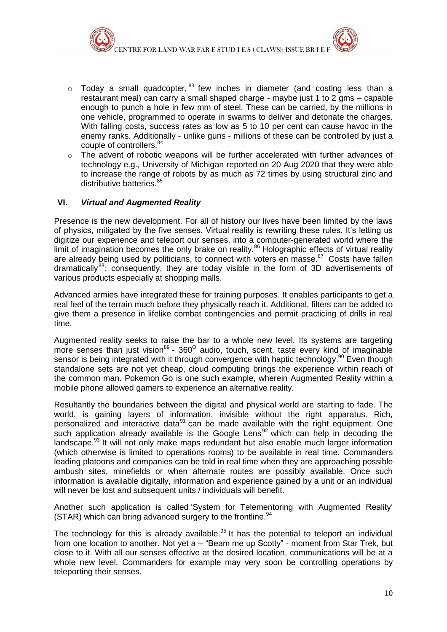- $\circ$  Today a small quadcopter,  $^{83}$  few inches in diameter (and costing less than a restaurant meal) can carry a small shaped charge - maybe just 1 to 2 gms – capable enough to punch a hole in few mm of steel. These can be carried, by the millions in one vehicle, programmed to operate in swarms to deliver and detonate the charges. With falling costs, success rates as low as 5 to 10 per cent can cause havoc in the enemy ranks. Additionally - unlike guns - millions of these can be controlled by just a couple of controllers. 84
- $\circ$  The advent of robotic weapons will be further accelerated with further advances of technology e.g., University of Michigan reported on 20 Aug 2020 that they were able to increase the range of robots by as much as 72 times by using structural zinc and distributive batteries.<sup>85</sup>

#### **VI.** *Virtual and Augmented Reality*

Presence is the new development. For all of history our lives have been limited by the laws of physics, mitigated by the five senses. Virtual reality is rewriting these rules. It's letting us digitize our experience and teleport our senses, into a computer-generated world where the limit of imagination becomes the only brake on reality.<sup>86</sup> Holographic effects of virtual reality are already being used by politicians, to connect with voters en masse.<sup>87</sup> Costs have fallen dramatically<sup>88</sup>; consequently, they are today visible in the form of 3D advertisements of various products especially at shopping malls.

Advanced armies have integrated these for training purposes. It enables participants to get a real feel of the terrain much before they physically reach it. Additional, filters can be added to give them a presence in lifelike combat contingencies and permit practicing of drills in real time.

Augmented reality seeks to raise the bar to a whole new level. Its systems are targeting more senses than just vision<sup>89</sup> - 360<sup>o</sup> audio, touch, scent, taste every kind of imaginable sensor is being integrated with it through convergence with haptic technology.<sup>90</sup> Even though standalone sets are not yet cheap, cloud computing brings the experience within reach of the common man. Pokemon Go is one such example, wherein Augmented Reality within a mobile phone allowed gamers to experience an alternative reality.

Resultantly the boundaries between the digital and physical world are starting to fade. The world, is gaining layers of information, invisible without the right apparatus. Rich, personalized and interactive data $91$  can be made available with the right equipment. One such application already available is the Google Lens<sup>92</sup> which can help in decoding the landscape.<sup>93</sup> It will not only make maps redundant but also enable much larger information (which otherwise is limited to operations rooms) to be available in real time. Commanders leading platoons and companies can be told in real time when they are approaching possible ambush sites, minefields or when alternate routes are possibly available. Once such information is available digitally, information and experience gained by a unit or an individual will never be lost and subsequent units / individuals will benefit.

Another such application is called 'System for Telementoring with Augmented Reality' (STAR) which can bring advanced surgery to the frontline. $94$ 

The technology for this is already available. $95$  It has the potential to teleport an individual from one location to another. Not yet a – "Beam me up Scotty" - moment from Star Trek, but close to it. With all our senses effective at the desired location, communications will be at a whole new level. Commanders for example may very soon be controlling operations by teleporting their senses.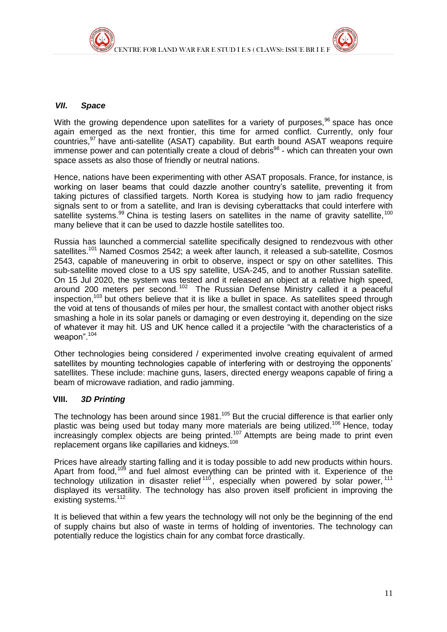

#### *VII. Space*

With the growing dependence upon satellites for a variety of purposes,  $96$  space has once again emerged as the next frontier, this time for armed conflict. Currently, only four countries.<sup>97</sup> have anti-satellite (ASAT) capability. But earth bound ASAT weapons require immense power and can potentially create a cloud of debris<sup>98</sup> - which can threaten your own space assets as also those of friendly or neutral nations.

Hence, nations have been experimenting with other ASAT proposals. France, for instance, is working on laser beams that could dazzle another country's satellite, preventing it from taking pictures of classified targets. North Korea is studying how to jam radio frequency signals sent to or from a satellite, and Iran is devising cyberattacks that could interfere with satellite systems.<sup>99</sup> China is testing lasers on satellites in the name of gravity satellite,<sup>100</sup> many believe that it can be used to dazzle hostile satellites too.

Russia has launched a commercial satellite specifically designed to rendezvous with other satellites.<sup>101</sup> Named Cosmos 2542; a week after launch, it released a sub-satellite, Cosmos 2543, capable of maneuvering in orbit to observe, inspect or spy on other satellites. This sub-satellite moved close to a US spy satellite, USA-245, and to another Russian satellite. On 15 Jul 2020, the system was tested and it released an object at a relative high speed, around 200 meters per second.<sup>102</sup> The Russian Defense Ministry called it a peaceful inspection,  $103$  but others believe that it is like a bullet in space. As satellites speed through the void at tens of thousands of miles per hour, the smallest contact with another object risks smashing a hole in its solar panels or damaging or even destroying it, depending on the size of whatever it may hit. US and UK hence called it a projectile "with the characteristics of a weapon".<sup>104</sup>

Other technologies being considered / experimented involve creating equivalent of armed satellites by mounting technologies capable of interfering with or destroying the opponents' satellites. These include: machine guns, lasers, directed energy weapons capable of firing a beam of microwave radiation, and radio jamming.

#### **VIII.** *3D Printing*

The technology has been around since 1981.<sup>105</sup> But the crucial difference is that earlier only plastic was being used but today many more materials are being utilized.<sup>106</sup> Hence, today  $\frac{1}{2}$  increasingly complex objects are being printed.<sup>107</sup> Attempts are being made to print even replacement organs like capillaries and kidneys.<sup>108</sup>

Prices have already starting falling and it is today possible to add new products within hours. Apart from food,<sup>109</sup> and fuel almost everything can be printed with it. Experience of the technology utilization in disaster relief <sup>110</sup> , especially when powered by solar power, <sup>111</sup> displayed its versatility. The technology has also proven itself proficient in improving the existing systems.<sup>112</sup>

It is believed that within a few years the technology will not only be the beginning of the end of supply chains but also of waste in terms of holding of inventories. The technology can potentially reduce the logistics chain for any combat force drastically.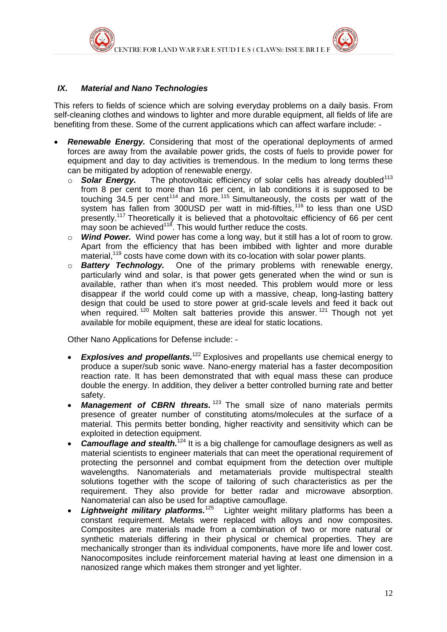

#### *IX. Material and Nano Technologies*

This refers to fields of science which are solving everyday problems on a daily basis. From self-cleaning clothes and windows to lighter and more durable equipment, all fields of life are benefiting from these. Some of the current applications which can affect warfare include: -

- *Renewable Energy.* Considering that most of the operational deployments of armed forces are away from the available power grids, the costs of fuels to provide power for equipment and day to day activities is tremendous. In the medium to long terms these can be mitigated by adoption of renewable energy.
	- $\circ$  **Solar Energy.** The photovoltaic efficiency of solar cells has already doubled<sup>113</sup> from 8 per cent to more than 16 per cent, in lab conditions it is supposed to be touching  $34.5$  per cent<sup> $114$ </sup> and more.<sup>115</sup> Simultaneously, the costs per watt of the system has fallen from 300USD per watt in mid-fifties,<sup>116</sup> to less than one USD presently.<sup>117</sup> Theoretically it is believed that a photovoltaic efficiency of 66 per cent may soon be achieved<sup>118</sup>. This would further reduce the costs.
	- o *Wind Power.* Wind power has come a long way, but it still has a lot of room to grow. Apart from the efficiency that has been imbibed with lighter and more durable material,<sup>119</sup> costs have come down with its co-location with solar power plants.
	- o *Battery Technology.* One of the primary problems with renewable energy, particularly wind and solar, is that power gets generated when the wind or sun is available, rather than when it's most needed. This problem would more or less disappear if the world could come up with a massive, cheap, long-lasting battery design that could be used to store power at grid-scale levels and feed it back out when required.<sup>120</sup> Molten salt batteries provide this answer.<sup>121</sup> Though not yet available for mobile equipment, these are ideal for static locations.

Other Nano Applications for Defense include: -

- **Explosives and propellants.**<sup>122</sup> Explosives and propellants use chemical energy to produce a super/sub sonic wave. Nano-energy material has a faster decomposition reaction rate. It has been demonstrated that with equal mass these can produce double the energy. In addition, they deliver a better controlled burning rate and better safety.
- *Management of CBRN threats.*<sup>123</sup> The small size of nano materials permits presence of greater number of constituting atoms/molecules at the surface of a material. This permits better bonding, higher reactivity and sensitivity which can be exploited in detection equipment.
- Camouflage and stealth.<sup>124</sup> It is a big challenge for camouflage designers as well as material scientists to engineer materials that can meet the operational requirement of protecting the personnel and combat equipment from the detection over multiple wavelengths. Nanomaterials and metamaterials provide multispectral stealth solutions together with the scope of tailoring of such characteristics as per the requirement. They also provide for better radar and microwave absorption. Nanomaterial can also be used for adaptive camouflage.
- Lightweight military platforms.<sup>125</sup> Lighter weight military platforms has been a constant requirement. Metals were replaced with alloys and now composites. Composites are materials made from a combination of two or more natural or synthetic materials differing in their physical or chemical properties. They are mechanically stronger than its individual components, have more life and lower cost. Nanocomposites include reinforcement material having at least one dimension in a nanosized range which makes them stronger and yet lighter.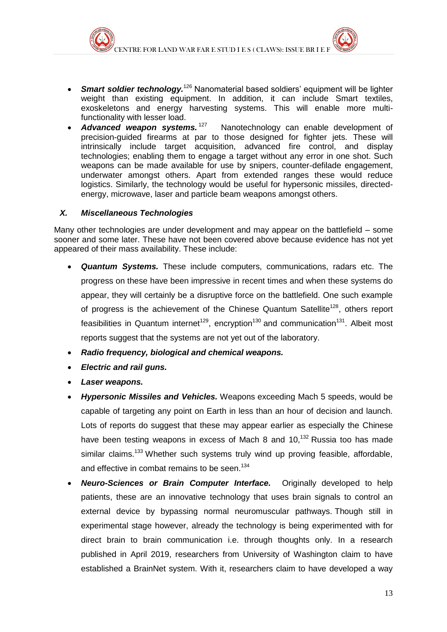- **Smart soldier technology.**<sup>126</sup> Nanomaterial based soldiers' equipment will be lighter weight than existing equipment. In addition, it can include Smart textiles, exoskeletons and energy harvesting systems. This will enable more multifunctionality with lesser load.
- Advanced weapon systems.<sup>127</sup> Nanotechnology can enable development of precision-guided firearms at par to those designed for fighter jets. These will intrinsically include target acquisition, advanced fire control, and display technologies; enabling them to engage a target without any error in one shot. Such weapons can be made available for use by snipers, counter-defilade engagement, underwater amongst others. Apart from extended ranges these would reduce logistics. Similarly, the technology would be useful for hypersonic missiles, directedenergy, microwave, laser and particle beam weapons amongst others.

#### *X. Miscellaneous Technologies*

Many other technologies are under development and may appear on the battlefield – some sooner and some later. These have not been covered above because evidence has not yet appeared of their mass availability. These include:

- *Quantum Systems.* These include computers, communications, radars etc. The progress on these have been impressive in recent times and when these systems do appear, they will certainly be a disruptive force on the battlefield. One such example of progress is the achievement of the Chinese Quantum Satellite<sup>128</sup>, others report feasibilities in Quantum internet<sup>129</sup>, encryption<sup>130</sup> and communication<sup>131</sup>. Albeit most reports suggest that the systems are not yet out of the laboratory.
- *Radio frequency, biological and chemical weapons.*
- *Electric and rail guns.*
- *Laser weapons.*
- *Hypersonic Missiles and Vehicles.* Weapons exceeding Mach 5 speeds, would be capable of targeting any point on Earth in less than an hour of decision and launch. Lots of reports do suggest that these may appear earlier as especially the Chinese have been testing weapons in excess of Mach 8 and 10.<sup>132</sup> Russia too has made similar claims.<sup>133</sup> Whether such systems truly wind up proving feasible, affordable, and effective in combat remains to be seen.<sup>134</sup>
- *Neuro-Sciences or Brain Computer Interface.* Originally developed to help patients, these are an innovative technology that uses brain signals to control an external device by bypassing normal neuromuscular pathways. Though still in experimental stage however, already the technology is being experimented with for direct brain to brain communication i.e. through thoughts only. In a research published in April 2019, researchers from University of Washington claim to have established a BrainNet system. With it, researchers claim to have developed a way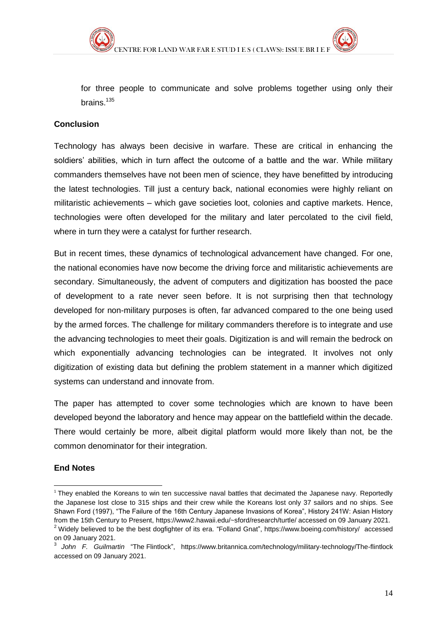for three people to communicate and solve problems together using only their brains.<sup>135</sup>

#### **Conclusion**

Technology has always been decisive in warfare. These are critical in enhancing the soldiers' abilities, which in turn affect the outcome of a battle and the war. While military commanders themselves have not been men of science, they have benefitted by introducing the latest technologies. Till just a century back, national economies were highly reliant on militaristic achievements – which gave societies loot, colonies and captive markets. Hence, technologies were often developed for the military and later percolated to the civil field, where in turn they were a catalyst for further research.

But in recent times, these dynamics of technological advancement have changed. For one, the national economies have now become the driving force and militaristic achievements are secondary. Simultaneously, the advent of computers and digitization has boosted the pace of development to a rate never seen before. It is not surprising then that technology developed for non-military purposes is often, far advanced compared to the one being used by the armed forces. The challenge for military commanders therefore is to integrate and use the advancing technologies to meet their goals. Digitization is and will remain the bedrock on which exponentially advancing technologies can be integrated. It involves not only digitization of existing data but defining the problem statement in a manner which digitized systems can understand and innovate from.

The paper has attempted to cover some technologies which are known to have been developed beyond the laboratory and hence may appear on the battlefield within the decade. There would certainly be more, albeit digital platform would more likely than not, be the common denominator for their integration.

#### **End Notes**

<sup>1</sup> <sup>1</sup> They enabled the Koreans to win ten successive naval battles that decimated the Japanese navy. Reportedly the Japanese lost close to 315 ships and their crew while the Koreans lost only 37 sailors and no ships. See Shawn Ford (1997), "The Failure of the 16th Century Japanese Invasions of Korea", History 241W: Asian History from the 15th Century to Present[, https://www2.hawaii.edu/~sford/research/turtle/](https://www2.hawaii.edu/~sford/research/turtle/) accessed on 09 January 2021.

<sup>&</sup>lt;sup>2</sup> Widely believed to be the best dogfighter of its era. "Folland Gnat",<https://www.boeing.com/history/> accessed on 09 January 2021.

<sup>&</sup>lt;sup>3</sup> [John F. Guilmartin](https://www.britannica.com/contributor/John-F-Guilmartin/3551) "The [Flintlock"](https://www.britannica.com/technology/flintlock), <https://www.britannica.com/technology/military-technology/The-flintlock> accessed on 09 January 2021.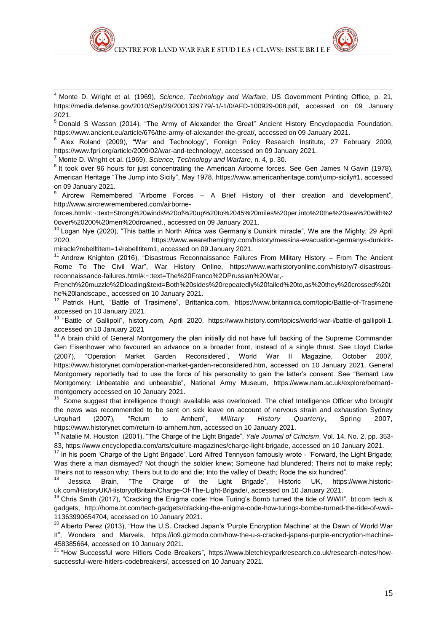

<sup>4</sup> Monte D. Wright et al. (1969), *Science, Technology and Warfare*, US Government Printing Office, p. 21, [https://media.defense.gov/2010/Sep/29/2001329779/-1/-1/0/AFD-100929-008.pdf,](https://media.defense.gov/2010/Sep/29/2001329779/-1/-1/0/AFD-100929-008.pdf) accessed on 09 January 2021.

<sup>5</sup> Donald S Wasson (2014), "The Army of Alexander the Great" Ancient History Encyclopaedia Foundation, [https://www.ancient.eu/article/676/the-army-of-alexander-the-great/,](https://www.ancient.eu/article/676/the-army-of-alexander-the-great/) accessed on 09 January 2021.

<sup>6</sup> Alex Roland (2009), "War and Technology", Foreign Policy Research Institute, 27 February 2009, [https://www.fpri.org/article/2009/02/war-and-technology/,](https://www.fpri.org/article/2009/02/war-and-technology/) accessed on 09 January 2021.

<sup>7</sup> Monte D. Wright et al. (1969), *Science, Technology and Warfare*, n. 4, p. 30.

1

<sup>8</sup> It took over 96 hours for just concentrating the American Airborne forces. See Gen James N Gavin (1978), American Heritage "The Jump into Sicily", May 1978, [https://www.americanheritage.com/jump-sicily#1,](https://www.americanheritage.com/jump-sicily#1) accessed on 09 January 2021.

<sup>9</sup> Aircrew Remembered "Airborne Forces – A Brief History of their creation and development", [http://www.aircrewremembered.com/airborne-](http://www.aircrewremembered.com/airborne-forces.html#:~:text=Strong%20winds%20of%20up%20to%2045%20miles%20per,into%20the%20sea%20with%20over%20200%20men%20drowned.)

[forces.html#:~:text=Strong%20winds%20of%20up%20to%2045%20miles%20per,into%20the%20sea%20with%2](http://www.aircrewremembered.com/airborne-forces.html#:~:text=Strong%20winds%20of%20up%20to%2045%20miles%20per,into%20the%20sea%20with%20over%20200%20men%20drowned.) [0over%20200%20men%20drowned.,](http://www.aircrewremembered.com/airborne-forces.html#:~:text=Strong%20winds%20of%20up%20to%2045%20miles%20per,into%20the%20sea%20with%20over%20200%20men%20drowned.) accessed on 09 January 2021.

<sup>10</sup> Logan Nye (2020), "This battle in North Africa was Germany's Dunkirk miracle", We are the Mighty, 29 April 2020, [https://www.wearethemighty.com/history/messina-evacuation-germanys-dunkirk](https://www.wearethemighty.com/history/messina-evacuation-germanys-dunkirk-miracle?rebelltitem=1#rebelltitem1)[miracle?rebelltitem=1#rebelltitem1,](https://www.wearethemighty.com/history/messina-evacuation-germanys-dunkirk-miracle?rebelltitem=1#rebelltitem1) accessed on 09 January 2021.

<sup>11</sup> Andrew Knighton (2016), "Disastrous Reconnaissance Failures From Military History – From The Ancient Rome To The Civil War", War History Online, [https://www.warhistoryonline.com/history/7-disastrous](https://www.warhistoryonline.com/history/7-disastrous-reconnaissance-failures.html#:~:text=The%20Franco%2DPrussian%20War,-French%20muzzle%2Dloading&text=Both%20sides%20repeatedly%20failed%20to,as%20they%20crossed%20the%20landscape.)[reconnaissance-failures.html#:~:text=The%20Franco%2DPrussian%20War,-](https://www.warhistoryonline.com/history/7-disastrous-reconnaissance-failures.html#:~:text=The%20Franco%2DPrussian%20War,-French%20muzzle%2Dloading&text=Both%20sides%20repeatedly%20failed%20to,as%20they%20crossed%20the%20landscape.)

[French%20muzzle%2Dloading&text=Both%20sides%20repeatedly%20failed%20to,as%20they%20crossed%20t](https://www.warhistoryonline.com/history/7-disastrous-reconnaissance-failures.html#:~:text=The%20Franco%2DPrussian%20War,-French%20muzzle%2Dloading&text=Both%20sides%20repeatedly%20failed%20to,as%20they%20crossed%20the%20landscape.) [he%20landscape.,](https://www.warhistoryonline.com/history/7-disastrous-reconnaissance-failures.html#:~:text=The%20Franco%2DPrussian%20War,-French%20muzzle%2Dloading&text=Both%20sides%20repeatedly%20failed%20to,as%20they%20crossed%20the%20landscape.) accessed on 10 January 2021.

<sup>12</sup> Patrick Hunt, "Battle of Trasimene", Brittanica.com, <https://www.britannica.com/topic/Battle-of-Trasimene> accessed on 10 January 2021.

<sup>13</sup> "Battle of Gallipoli", history.com, April 2020, [https://www.history.com/topics/world-war-i/battle-of-gallipoli-1,](https://www.history.com/topics/world-war-i/battle-of-gallipoli-1) accessed on 10 January 2021

<sup>14</sup> A brain child of General Montgomery the plan initially did not have full backing of the Supreme Commander Gen Eisenhower who favoured an advance on a broader front, instead of a single thrust. See Lloyd Clarke (2007), "Operation Market Garden Reconsidered", World War II Magazine, October 2007, [https://www.historynet.com/operation-market-garden-reconsidered.htm,](https://www.historynet.com/operation-market-garden-reconsidered.htm) accessed on 10 January 2021. General Montgomery reportedly had to use the force of his personality to gain the latter's consent. See "Bernard Law Montgomery: Unbeatable and unbearable", National Army Museum, [https://www.nam.ac.uk/explore/bernard](https://www.nam.ac.uk/explore/bernard-montgomery)[montgomery](https://www.nam.ac.uk/explore/bernard-montgomery) accessed on 10 January 2021.

<sup>15</sup> Some suggest that intelligence though available was overlooked. The chief Intelligence Officer who brought the news was recommended to be sent on sick leave on account of nervous strain and exhaustion Sydney Urquhart (2007), "Return to Arnhem", *Military History Quarterly*, Spring 2007, [https://www.historynet.com/return-to-arnhem.htm,](https://www.historynet.com/return-to-arnhem.htm) accessed on 10 January 2021.

<sup>16</sup> Natalie M. Houston (2001), "The Charge of the Light Brigade", *Yale Journal of Criticism*, Vol. 14, No. 2, pp. 353- 83, [https://www.encyclopedia.com/arts/culture-magazines/charge-light-brigade,](https://www.encyclopedia.com/arts/culture-magazines/charge-light-brigade) accessed on 10 January 2021.

<sup>17</sup> In his poem 'Charge of the Light Brigade', Lord Alfred Tennyson famously wrote - "Forward, the Light Brigade; Was there a man dismayed? Not though the soldier knew; Someone had blundered; Theirs not to make reply; Theirs not to reason why; Theirs but to do and die; Into the valley of Death; Rode the six hundred".

<sup>18</sup> Jessica Brain, "The Charge of the Light Brigade", Historic UK, [https://www.historic](https://www.historic-uk.com/HistoryUK/HistoryofBritain/Charge-Of-The-Light-Brigade/)[uk.com/HistoryUK/HistoryofBritain/Charge-Of-The-Light-Brigade/,](https://www.historic-uk.com/HistoryUK/HistoryofBritain/Charge-Of-The-Light-Brigade/) accessed on 10 January 2021.

<sup>19</sup> Chris Smith (2017), "Cracking the Enigma code: How Turing's Bomb turned the tide of WWII", bt.com tech & gadgets, [http://home.bt.com/tech-gadgets/cracking-the-enigma-code-how-turings-bombe-turned-the-tide-of-wwii-](http://home.bt.com/tech-gadgets/cracking-the-enigma-code-how-turings-bombe-turned-the-tide-of-wwii-11363990654704)[11363990654704,](http://home.bt.com/tech-gadgets/cracking-the-enigma-code-how-turings-bombe-turned-the-tide-of-wwii-11363990654704) accessed on 10 January 2021.

<sup>20</sup> Alberto Perez (2013), "How the U.S. Cracked Japan's 'Purple Encryption Machine' at the Dawn of World War II", Wonders and Marvels, [https://io9.gizmodo.com/how-the-u-s-cracked-japans-purple-encryption-machine-](https://io9.gizmodo.com/how-the-u-s-cracked-japans-purple-encryption-machine-458385664)[458385664,](https://io9.gizmodo.com/how-the-u-s-cracked-japans-purple-encryption-machine-458385664) accessed on 10 January 2021.

<sup>21</sup> "How Successful were Hitlers Code Breakers", [https://www.bletchleyparkresearch.co.uk/research-notes/how](https://www.bletchleyparkresearch.co.uk/research-notes/how-successful-were-hitlers-codebreakers/)[successful-were-hitlers-codebreakers/,](https://www.bletchleyparkresearch.co.uk/research-notes/how-successful-were-hitlers-codebreakers/) accessed on 10 January 2021.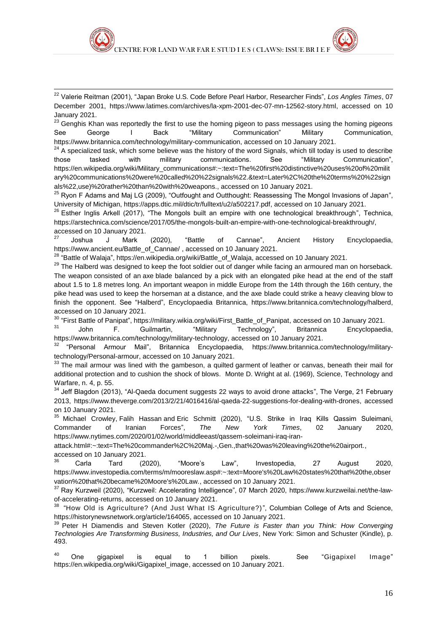

<sup>22</sup> Valerie Reitman (2001), "Japan Broke U.S. Code Before Pearl Harbor, Researcher Finds", *Los Angles Times*, 07 December 2001, [https://www.latimes.com/archives/la-xpm-2001-dec-07-mn-12562-story.html,](https://www.latimes.com/archives/la-xpm-2001-dec-07-mn-12562-story.html) accessed on 10 January 2021.

1

<sup>23</sup> Genahis Khan was reportedly the first to use the homing pigeon to pass messages using the homing pigeons See George I Back "Military Communication" Military Communication, [https://www.britannica.com/technology/military-communication,](https://www.britannica.com/technology/military-communication) accessed on 10 January 2021.

 $24$  A specialized task, which some believe was the history of the word Signals, which till today is used to describe those tasked with military communications. See "Military Communication", [https://en.wikipedia.org/wiki/Military\\_communications#:~:text=The%20first%20distinctive%20uses%20of%20milit](https://en.wikipedia.org/wiki/Military_communications#:~:text=The%20first%20distinctive%20uses%20of%20military%20communications%20were%20called%20%22signals%22.&text=Later%2C%20the%20terms%20%22signals%22,use)%20rather%20than%20with%20weapons.) [ary%20communications%20were%20called%20%22signals%22.&text=Later%2C%20the%20terms%20%22sign](https://en.wikipedia.org/wiki/Military_communications#:~:text=The%20first%20distinctive%20uses%20of%20military%20communications%20were%20called%20%22signals%22.&text=Later%2C%20the%20terms%20%22signals%22,use)%20rather%20than%20with%20weapons.) [als%22,use\)%20rather%20than%20with%20weapons.,](https://en.wikipedia.org/wiki/Military_communications#:~:text=The%20first%20distinctive%20uses%20of%20military%20communications%20were%20called%20%22signals%22.&text=Later%2C%20the%20terms%20%22signals%22,use)%20rather%20than%20with%20weapons.) accessed on 10 January 2021.

<sup>25</sup> Ryon F Adams and Maj LG (2009), "Outfought and Outthought: Reassessing The Mongol Invasions of Japan", University of Michigan, [https://apps.dtic.mil/dtic/tr/fulltext/u2/a502217.pdf,](https://apps.dtic.mil/dtic/tr/fulltext/u2/a502217.pdf) accessed on 10 January 2021.

<sup>26</sup> Esther Inglis Arkell (2017), "The Mongols built an empire with one technological breakthrough", Technica, [https://arstechnica.com/science/2017/05/the-mongols-built-an-empire-with-one-technological-breakthrough/,](https://arstechnica.com/science/2017/05/the-mongols-built-an-empire-with-one-technological-breakthrough/) accessed on 10 January 2021.

<sup>27</sup> Joshua J Mark (2020), "Battle of Cannae", Ancient History Encyclopaedia, [https://www.ancient.eu/Battle\\_of\\_Cannae/](https://www.ancient.eu/Battle_of_Cannae/) , accessed on 10 January 2021.

<sup>28</sup> "Battle of Walaja", [https://en.wikipedia.org/wiki/Battle\\_of\\_Walaja,](https://en.wikipedia.org/wiki/Battle_of_Walaja) accessed on 10 January 2021.

<sup>29</sup> The Halberd was designed to keep the foot soldier out of danger while facing an armoured man on horseback. The weapon consisted of an axe blade balanced by a pick with an elongated pike head at the end of the staff about 1.5 to 1.8 metres long. An important weapon in middle Europe from the 14th through the 16th century, the pike head was used to keep the horseman at a distance, and the axe blade could strike a heavy cleaving blow to finish the opponent. See "Halberd", Encyclopaedia Britannica, [https://www.britannica.com/technology/halberd,](https://www.britannica.com/technology/halberd) accessed on 10 January 2021.

<sup>30</sup> "First Battle of Panipat", [https://military.wikia.org/wiki/First\\_Battle\\_of\\_Panipat,](https://military.wikia.org/wiki/First_Battle_of_Panipat) accessed on 10 January 2021.

<sup>31</sup> John F. Guilmartin, "Military Technology", Britannica Encyclopaedia, [https://www.britannica.com/technology/military-technology,](https://www.britannica.com/technology/military-technology) accessed on 10 January 2021.

<sup>32</sup> "Personal Armour Mail", Britannica Encyclopaedia, [https://www.britannica.com/technology/military](https://www.britannica.com/technology/military-technology/Personal-armour)[technology/Personal-armour,](https://www.britannica.com/technology/military-technology/Personal-armour) accessed on 10 January 2021.

<sup>33</sup> The mail armour was lined with the gambeson, a quilted garment of leather or canvas, beneath their mail for additional protection and to cushion the shock of blows. Monte D. Wright at al. (1969), Science, Technology and Warfare, n. 4, p. 55.

<sup>34</sup> Jeff Blagdon (2013), "Al-Qaeda document suggests 22 ways to avoid drone attacks", The Verge, 21 February 2013, [https://www.theverge.com/2013/2/21/4016416/al-qaeda-22-suggestions-for-dealing-with-drones,](https://www.theverge.com/2013/2/21/4016416/al-qaeda-22-suggestions-for-dealing-with-drones) accessed on 10 January 2021.

<sup>35</sup> Michael [Crowley,](https://www.nytimes.com/by/michael-crowley) Falih Hassan and Eric [Schmitt](https://www.nytimes.com/by/eric-schmitt) (2020), "U.S. Strike in Iraq Kills Qassim Suleimani, Commander of Iranian Forces", *The New York Times*, 02 January 2020, [https://www.nytimes.com/2020/01/02/world/middleeast/qassem-soleimani-iraq-iran-](https://www.nytimes.com/2020/01/02/world/middleeast/qassem-soleimani-iraq-iran-attack.html#:~:text=The%20commander%2C%20Maj.-,Gen.,that%20was%20leaving%20the%20airport.)

[attack.html#:~:text=The%20commander%2C%20Maj.-,Gen.,that%20was%20leaving%20the%20airport.,](https://www.nytimes.com/2020/01/02/world/middleeast/qassem-soleimani-iraq-iran-attack.html#:~:text=The%20commander%2C%20Maj.-,Gen.,that%20was%20leaving%20the%20airport.) accessed on 10 January 2021.

<sup>36</sup> Carla Tard (2020), "Moore's Law", Investopedia, 27 August 2020, [https://www.investopedia.com/terms/m/mooreslaw.asp#:~:text=Moore's%20Law%20states%20that%20the,obser](https://www.investopedia.com/terms/m/mooreslaw.asp#:~:text=Moore) [vation%20that%20became%20Moore's%20Law.,](https://www.investopedia.com/terms/m/mooreslaw.asp#:~:text=Moore) accessed on 10 January 2021.

<sup>37</sup> Ray Kurzweil (2020), "Kurzweil: Accelerating Intelligence", 07 March 2020, [https://www.kurzweilai.net/the-law](https://www.kurzweilai.net/the-law-of-accelerating-returns)[of-accelerating-returns,](https://www.kurzweilai.net/the-law-of-accelerating-returns) accessed on 10 January 2021.

<sup>38</sup> "How Old is Agriculture? (And Just What IS Agriculture?)", Columbian College of Arts and Science, [https://historynewsnetwork.org/article/164065,](https://historynewsnetwork.org/article/164065) accessed on 10 January 2021.

<sup>39</sup> Peter H Diamendis and Steven Kotler (2020), *The Future is Faster than you Think: How Converging Technologies Are Transforming Business, Industries, and Our Lives*, New York: Simon and Schuster (Kindle), p. 493.

 $40$  One gigapixel is equal to 1 billion pixels. See "Gigapixel Image" [https://en.wikipedia.org/wiki/Gigapixel\\_image,](https://en.wikipedia.org/wiki/Gigapixel_image) accessed on 10 January 2021.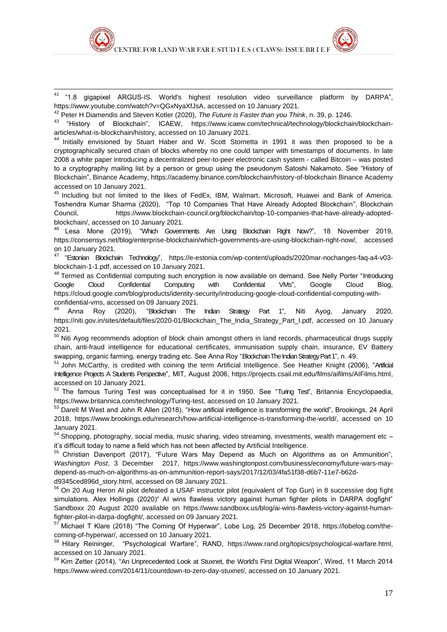$41$  "1.8 qigapixel ARGUS-IS. World's highest resolution video surveillance platform by DARPA", [https://www.youtube.com/watch?v=QGxNyaXfJsA,](https://www.youtube.com/watch?v=QGxNyaXfJsA) accessed on 10 January 2021.

<sup>42</sup> Peter H Diamendis and Steven Kotler (2020), *The Future is Faster than you Think*, n. 39, p. 1246.

of Blockchain", ICAEW, [https://www.icaew.com/technical/technology/blockchain/blockchain](https://www.icaew.com/technical/technology/blockchain/blockchain-articles/what-is-blockchain/history)[articles/what-is-blockchain/history,](https://www.icaew.com/technical/technology/blockchain/blockchain-articles/what-is-blockchain/history) accessed on 10 January 2021.

<sup>44</sup> Initially envisioned by Stuart Haber and W. Scott Stornetta in 1991 it was then proposed to be a cryptographically secured chain of blocks whereby no one could tamper with timestamps of documents. In late 2008 a white paper introducing a decentralized peer-to-peer electronic cash system - called Bitcoin – was posted to a cryptography mailing list by a person or group using the pseudonym Satoshi Nakamoto. See "History of Blockchain", Binance Academy,<https://academy.binance.com/blockchain/history-of-blockchain> Binance Academy accessed on 10 January 2021.

<sup>45</sup> Including but not limited to the likes of FedEx, IBM, Walmart, Microsoft, Huawei and Bank of America. Toshendra Kumar Sharma (2020), "Top 10 Companies That Have Already Adopted Blockchain", Blockchain Council, [https://www.blockchain-council.org/blockchain/top-10-companies-that-have-already-adopted](https://www.blockchain-council.org/blockchain/top-10-companies-that-have-already-adopted-blockchain/)[blockchain/,](https://www.blockchain-council.org/blockchain/top-10-companies-that-have-already-adopted-blockchain/) accessed on 10 January 2021.

<sup>46</sup> Lesa Mone (2019), "Which Governments Are Using Blockchain Right Now?", 18 November 2019, [https://consensys.net/blog/enterprise-blockchain/which-governments-are-using-blockchain-right-now/,](https://consensys.net/blog/enterprise-blockchain/which-governments-are-using-blockchain-right-now/) accessed on 10 January 2021.

<sup>47</sup> "Estonian Blockchain Technology", [https://e-estonia.com/wp-content/uploads/2020mar-nochanges-faq-a4-v03](https://e-estonia.com/wp-content/uploads/2020mar-nochanges-faq-a4-v03-blockchain-1-1.pdf) [blockchain-1-1.pdf,](https://e-estonia.com/wp-content/uploads/2020mar-nochanges-faq-a4-v03-blockchain-1-1.pdf) accessed on 10 January 2021.

<sup>48</sup> Termed as Confidential computing such encryption is now available on demand. See Nelly Porter "Introducing Google Cloud Confidential Computing with Confidential VMs", Google Cloud Blog, [https://cloud.google.com/blog/products/identity-security/introducing-google-cloud-confidential-computing-with](https://cloud.google.com/blog/products/identity-security/introducing-google-cloud-confidential-computing-with-confidential-vms)[confidential-vms,](https://cloud.google.com/blog/products/identity-security/introducing-google-cloud-confidential-computing-with-confidential-vms) accessed on 09 January 2021.

<sup>49</sup> Anna Roy (2020), "Blockchain The Indian Strategy Part 1", Niti Ayog, January 2020, [https://niti.gov.in/sites/default/files/2020-01/Blockchain\\_The\\_India\\_Strategy\\_Part\\_I.pdf,](https://niti.gov.in/sites/default/files/2020-01/Blockchain_The_India_Strategy_Part_I.pdf) accessed on 10 January 2021.

<sup>50</sup> Niti Ayog recommends adoption of block chain amongst others in land records, pharmaceutical drugs supply chain, anti-fraud intelligence for educational certificates, immunisation supply chain, insurance, EV Battery swapping, organic farming, energy trading etc. See Anna Roy "Blockchain The Indian Strategy Part 1", n. 49.

<sup>51</sup> John McCarthy, is credited with coining the term Artificial Intelligence. See Heather Knight (2006), "Artificial Intelligence Projects A Students Perspective", MIT, August 2006, [https://projects.csail.mit.edu/films/aifilms/AIFilms.html,](https://projects.csail.mit.edu/films/aifilms/AIFilms.html) accessed on 10 January 2021.

<sup>52</sup> The famous Turing Test was conceptualised for it in 1950. See "Turing Test", Britannia Encyclopaedia, [https://www.britannica.com/technology/Turing-test,](https://www.britannica.com/technology/Turing-test) accessed on 10 January 2021.

<sup>53</sup> Darell M West and John R Allen (2018), "How artificial intelligence is transforming the world", Brookings, 24 April 2018, [https://www.brookings.edu/research/how-artificial-intelligence-is-transforming-the-world/,](https://www.brookings.edu/research/how-artificial-intelligence-is-transforming-the-world/) accessed on 10 January 2021.

<sup>54</sup> Shopping, photography, social media, music sharing, video streaming, investments, wealth management etc it's difficult today to name a field which has not been affected by Artificial Intelligence.

<sup>55</sup> Christian Davenport (2017), "Future Wars May Depend as Much on Algorithms as on Ammunition", *Washington Post*, 3 December 2017, [https://www.washingtonpost.com/business/economy/future-wars-may](https://www.washingtonpost.com/business/economy/future-wars-may-depend-as-much-on-algorithms-as-on-ammunition-report-says/2017/12/03/4fa51f38-d6b7-11e7-b62d-d9345ced896d_story.html)[depend-as-much-on-algorithms-as-on-ammunition-report-says/2017/12/03/4fa51f38-d6b7-11e7-b62d-](https://www.washingtonpost.com/business/economy/future-wars-may-depend-as-much-on-algorithms-as-on-ammunition-report-says/2017/12/03/4fa51f38-d6b7-11e7-b62d-d9345ced896d_story.html)

[d9345ced896d\\_story.html,](https://www.washingtonpost.com/business/economy/future-wars-may-depend-as-much-on-algorithms-as-on-ammunition-report-says/2017/12/03/4fa51f38-d6b7-11e7-b62d-d9345ced896d_story.html) accessed on 08 January 2021.

<sup>56</sup> On 20 Aug Heron AI pilot defeated a USAF instructor pilot (equivalent of Top Gun) in 8 successive dog fight simulations. Alex Hollings (2020)" AI wins flawless victory against human fighter pilots in DARPA dogfight" Sandboxx 20 August 2020 available on [https://www.sandboxx.us/blog/ai-wins-flawless-victory-against-human](https://www.sandboxx.us/blog/ai-wins-flawless-victory-against-human-fighter-pilot-in-darpa-dogfight/)[fighter-pilot-in-darpa-dogfight/,](https://www.sandboxx.us/blog/ai-wins-flawless-victory-against-human-fighter-pilot-in-darpa-dogfight/) accessed on 09 January 2021.

<sup>57</sup> Michael T Klare (2018) "The Coming Of Hyperwar", Lobe Log, 25 December 2018, [https://lobelog.com/the](https://lobelog.com/the-coming-of-hyperwar/)[coming-of-hyperwar/,](https://lobelog.com/the-coming-of-hyperwar/) accessed on 10 January 2021.<br><sup>58</sup> Hilarv Reininger, "Psychological Warfare", RAI

<sup>58</sup> Hilary Reininger, "Psychological Warfare", RAND, [https://www.rand.org/topics/psychological-warfare.html,](https://www.rand.org/topics/psychological-warfare.html) accessed on 10 January 2021.

<sup>59</sup> Kim Zetter (2014), "An Unprecedented Look at Stuxnet, the World's First Digital Weapon", Wired, 11 March 2014 [https://www.wired.com/2014/11/countdown-to-zero-day-stuxnet/,](https://www.wired.com/2014/11/countdown-to-zero-day-stuxnet/) accessed on 10 January 2021.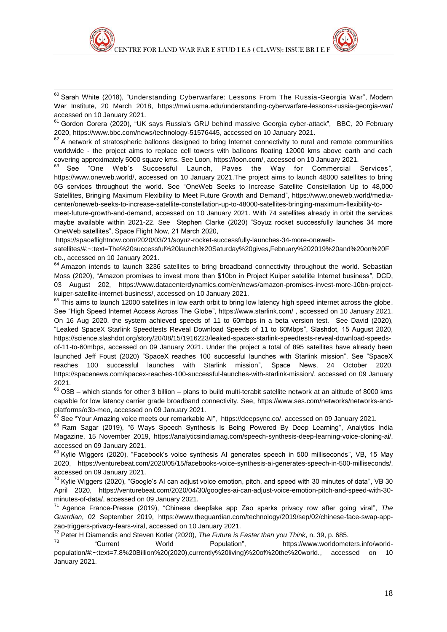1

 $^{60}$  Sarah White (2018), "Understanding Cyberwarfare: Lessons From The Russia-Georgia War", Modern War Institute, 20 March 2018, <https://mwi.usma.edu/understanding-cyberwarfare-lessons-russia-georgia-war/> accessed on 10 January 2021.

<sup>61</sup> Gordon Corera (2020), "UK says Russia's GRU behind massive Georgia cyber-attack", BBC*,* 20 February 2020, [https://www.bbc.com/news/technology-51576445,](https://www.bbc.com/news/technology-51576445) accessed on 10 January 2021.

 $62$  A network of stratospheric balloons designed to bring Internet connectivity to rural and remote communities worldwide - the project aims to replace cell towers with balloons floating 12000 kms above earth and each covering approximately 5000 square kms. See Loon[, https://loon.com/,](https://loon.com/) accessed on 10 January 2021.<br>
<sup>63</sup> See "One Web's Successful Launch. Paves the Way for Commercial

"One Web's Successful Launch, Paves the Way for Commercial Services", [https://www.oneweb.world/,](https://www.oneweb.world/) accessed on 10 January 2021.The project aims to launch 48000 satellites to bring 5G services throughout the world. See "OneWeb Seeks to Increase Satellite Constellation Up to 48,000 Satellites, Bringing Maximum Flexibility to Meet Future Growth and Demand", [https://www.oneweb.world/media](https://www.oneweb.world/media-center/oneweb-seeks-to-increase-satellite-constellation-up-to-48000-satellites-bringing-maximum-flexibility-to-meet-future-growth-and-demand)[center/oneweb-seeks-to-increase-satellite-constellation-up-to-48000-satellites-bringing-maximum-flexibility-to-](https://www.oneweb.world/media-center/oneweb-seeks-to-increase-satellite-constellation-up-to-48000-satellites-bringing-maximum-flexibility-to-meet-future-growth-and-demand)

[meet-future-growth-and-demand,](https://www.oneweb.world/media-center/oneweb-seeks-to-increase-satellite-constellation-up-to-48000-satellites-bringing-maximum-flexibility-to-meet-future-growth-and-demand) accessed on 10 January 2021. With 74 satellites already in orbit the services maybe available within 2021-22. See Stephen Clarke (2020) "Soyuz rocket successfully launches 34 more OneWeb satellites", Space Flight Now, 21 March 2020,

[https://spaceflightnow.com/2020/03/21/soyuz-rocket-successfully-launches-34-more-oneweb-](https://spaceflightnow.com/2020/03/21/soyuz-rocket-successfully-launches-34-more-oneweb-satellites/#:~:text=The%20successful%20launch%20Saturday%20gives,February%202019%20and%20on%20Feb.)

[satellites/#:~:text=The%20successful%20launch%20Saturday%20gives,February%202019%20and%20on%20F](https://spaceflightnow.com/2020/03/21/soyuz-rocket-successfully-launches-34-more-oneweb-satellites/#:~:text=The%20successful%20launch%20Saturday%20gives,February%202019%20and%20on%20Feb.) [eb.,](https://spaceflightnow.com/2020/03/21/soyuz-rocket-successfully-launches-34-more-oneweb-satellites/#:~:text=The%20successful%20launch%20Saturday%20gives,February%202019%20and%20on%20Feb.) accessed on 10 January 2021.

<sup>64</sup> Amazon intends to launch 3236 satellites to bring broadband connectivity throughout the world. Sebastian Moss (2020), "Amazon promises to invest more than \$10bn in Project Kuiper satellite Internet business", DCD, 03 August 202, [https://www.datacenterdynamics.com/en/news/amazon-promises-invest-more-10bn-project](https://www.datacenterdynamics.com/en/news/amazon-promises-invest-more-10bn-project-kuiper-satellite-internet-business/)[kuiper-satellite-internet-business/,](https://www.datacenterdynamics.com/en/news/amazon-promises-invest-more-10bn-project-kuiper-satellite-internet-business/) accessed on 10 January 2021.

 $65$  This aims to launch 12000 satellites in low earth orbit to bring low latency high speed internet across the globe. See "High Speed Internet Access Across The Globe",<https://www.starlink.com/> , accessed on 10 January 2021. On 16 Aug 2020, the system achieved speeds of 11 to 60mbps in a beta version test. See David (2020), ["Leaked SpaceX Starlink Speedtests Reveal Download Speeds of 11 to 60Mbps"](https://science.slashdot.org/story/20/08/15/1916223/leaked-spacex-starlink-speedtests-reveal-download-speeds-of-11-to-60mbps), Slashdot, 15 August 2020, [https://science.slashdot.org/story/20/08/15/1916223/leaked-spacex-starlink-speedtests-reveal-download-speeds](https://science.slashdot.org/story/20/08/15/1916223/leaked-spacex-starlink-speedtests-reveal-download-speeds-of-11-to-60mbps)[of-11-to-60mbps,](https://science.slashdot.org/story/20/08/15/1916223/leaked-spacex-starlink-speedtests-reveal-download-speeds-of-11-to-60mbps) accessed on 09 January 2021. Under the project a total of 895 satellites have already been launched Jeff Foust (2020) "SpaceX reaches 100 successful launches with Starlink mission". See "SpaceX reaches 100 successful launches with Starlink mission", Space News, 24 October 2020, [https://spacenews.com/spacex-reaches-100-successful-launches-with-starlink-mission/,](https://spacenews.com/spacex-reaches-100-successful-launches-with-starlink-mission/) accessed on 09 January 2021.

 $66$  O3B – which stands for other 3 billion – plans to build multi-terabit satellite network at an altitude of 8000 kms capable for low latency carrier grade broadband connectivity. See, [https://www.ses.com/networks/networks-and](https://www.ses.com/networks/networks-and-platforms/o3b-meo)[platforms/o3b-meo,](https://www.ses.com/networks/networks-and-platforms/o3b-meo) accessed on 09 January 2021.

 $67$  See "Your Amazing voice meets our remarkable AI", [https://deepsync.co/,](https://deepsync.co/) accessed on 09 January 2021.

<sup>68</sup> Ram Sagar (2019), "6 Ways Speech Synthesis Is Being Powered By Deep Learning", Analytics India Magazine, 15 November 2019, [https://analyticsindiamag.com/speech-synthesis-deep-learning-voice-cloning-ai/,](https://analyticsindiamag.com/speech-synthesis-deep-learning-voice-cloning-ai/) accessed on 09 January 2021.

<sup>69</sup> Kylie Wiggers (2020), "Facebook's voice synthesis AI generates speech in 500 milliseconds", VB, 15 May 2020, [https://venturebeat.com/2020/05/15/facebooks-voice-synthesis-ai-generates-speech-in-500-milliseconds/,](https://venturebeat.com/2020/05/15/facebooks-voice-synthesis-ai-generates-speech-in-500-milliseconds/) accessed on 09 January 2021.

 $70$  Kylie Wiggers (2020), "Google's AI can adjust voice emotion, pitch, and speed with 30 minutes of data", VB 30 April 2020, [https://venturebeat.com/2020/04/30/googles-ai-can-adjust-voice-emotion-pitch-and-speed-with-30](https://venturebeat.com/2020/04/30/googles-ai-can-adjust-voice-emotion-pitch-and-speed-with-30-minutes-of-data/) [minutes-of-data/,](https://venturebeat.com/2020/04/30/googles-ai-can-adjust-voice-emotion-pitch-and-speed-with-30-minutes-of-data/) accessed on 09 January 2021.

<sup>71</sup> Agence France-Presse (2019), "Chinese deepfake app Zao sparks privacy row after going viral", *The Guardian*, 02 September 2019, [https://www.theguardian.com/technology/2019/sep/02/chinese-face-swap-app](https://www.theguardian.com/technology/2019/sep/02/chinese-face-swap-app-zao-triggers-privacy-fears-viral)[zao-triggers-privacy-fears-viral,](https://www.theguardian.com/technology/2019/sep/02/chinese-face-swap-app-zao-triggers-privacy-fears-viral) accessed on 10 January 2021.

<sup>72</sup> Peter H Diamendis and Steven Kotler (2020), *The Future is Faster than you Think*, n. 39, p. 685.

<sup>73</sup> "Current World Population", [https://www.worldometers.info/world](https://www.worldometers.info/world-population/#:~:text=7.8%20Billion%20(2020),currently%20living)%20of%20the%20world.)[population/#:~:text=7.8%20Billion%20\(2020\),currently%20living\)%20of%20the%20world.,](https://www.worldometers.info/world-population/#:~:text=7.8%20Billion%20(2020),currently%20living)%20of%20the%20world.) accessed on 10 January 2021.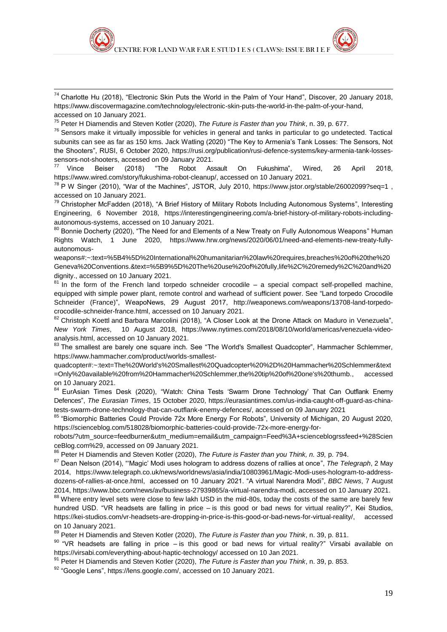

<sup>74</sup> Charlotte Hu (2018), "Electronic Skin Puts the World in the Palm of Your Hand", Discover, 20 January 2018, [https://www.discovermagazine.com/technology/electronic-skin-puts-the-world-in-the-palm-of-your-hand,](https://www.discovermagazine.com/technology/electronic-skin-puts-the-world-in-the-palm-of-your-hand) accessed on 10 January 2021.

<sup>75</sup> Peter H Diamendis and Steven Kotler (2020), *The Future is Faster than you Think*, n. 39, p. 677.

1

 $76$  Sensors make it virtually impossible for vehicles in general and tanks in particular to go undetected. Tactical subunits can see as far as 150 kms. Jack Watling (2020) "The Key to Armenia's Tank Losses: The Sensors, Not the Shooters", RUSI, 6 October 2020, [https://rusi.org/publication/rusi-defence-systems/key-armenia-tank-losses](https://rusi.org/publication/rusi-defence-systems/key-armenia-tank-losses-sensors-not-shooters)[sensors-not-shooters,](https://rusi.org/publication/rusi-defence-systems/key-armenia-tank-losses-sensors-not-shooters) accessed on 09 January 2021.<br>
<sup>77</sup> Vince Beiser (2018) "The Robot As

 $77$  Vince Beiser (2018) "The Robot Assault On Fukushima", Wired, 26 April 2018, [https://www.wired.com/story/fukushima-robot-cleanup/,](https://www.wired.com/story/fukushima-robot-cleanup/) accessed on 10 January 2021.

<sup>78</sup> P W Singer (2010), "War of the Machines", JSTOR, July 2010,<https://www.jstor.org/stable/26002099?seq=1>, accessed on 10 January 2021.

<sup>79</sup> Christopher McFadden (2018), "A Brief History of Military Robots Including Autonomous Systems", Interesting Engineering, 6 November 2018, [https://interestingengineering.com/a-brief-history-of-military-robots-including](https://interestingengineering.com/a-brief-history-of-military-robots-including-autonomous-systems)[autonomous-systems,](https://interestingengineering.com/a-brief-history-of-military-robots-including-autonomous-systems) accessed on 10 January 2021.

<sup>80</sup> Bonnie Docherty (2020), "The Need for and Elements of a New Treaty on Fully Autonomous Weapons" Human Rights Watch, 1 June 2020, [https://www.hrw.org/news/2020/06/01/need-and-elements-new-treaty-fully](https://www.hrw.org/news/2020/06/01/need-and-elements-new-treaty-fully-autonomous-weapons#:~:text=%5B4%5D%20International%20humanitarian%20law%20requires,breaches%20of%20the%20Geneva%20Conventions.&text=%5B9%5D%20The%20use%20of%20fully,life%2C%20remedy%2C%20and%20dignity.)[autonomous-](https://www.hrw.org/news/2020/06/01/need-and-elements-new-treaty-fully-autonomous-weapons#:~:text=%5B4%5D%20International%20humanitarian%20law%20requires,breaches%20of%20the%20Geneva%20Conventions.&text=%5B9%5D%20The%20use%20of%20fully,life%2C%20remedy%2C%20and%20dignity.)

[weapons#:~:text=%5B4%5D%20International%20humanitarian%20law%20requires,breaches%20of%20the%20](https://www.hrw.org/news/2020/06/01/need-and-elements-new-treaty-fully-autonomous-weapons#:~:text=%5B4%5D%20International%20humanitarian%20law%20requires,breaches%20of%20the%20Geneva%20Conventions.&text=%5B9%5D%20The%20use%20of%20fully,life%2C%20remedy%2C%20and%20dignity.) [Geneva%20Conventions.&text=%5B9%5D%20The%20use%20of%20fully,life%2C%20remedy%2C%20and%20](https://www.hrw.org/news/2020/06/01/need-and-elements-new-treaty-fully-autonomous-weapons#:~:text=%5B4%5D%20International%20humanitarian%20law%20requires,breaches%20of%20the%20Geneva%20Conventions.&text=%5B9%5D%20The%20use%20of%20fully,life%2C%20remedy%2C%20and%20dignity.) [dignity.,](https://www.hrw.org/news/2020/06/01/need-and-elements-new-treaty-fully-autonomous-weapons#:~:text=%5B4%5D%20International%20humanitarian%20law%20requires,breaches%20of%20the%20Geneva%20Conventions.&text=%5B9%5D%20The%20use%20of%20fully,life%2C%20remedy%2C%20and%20dignity.) accessed on 10 January 2021.

 $81$  In the form of the French land torpedo schneider crocodile – a special compact self-propelled machine, equipped with simple power plant, remote control and warhead of sufficient power. See "Land torpedo Crocodile Schneider (France)", WeapoNews, 29 August 2017, [http://weaponews.com/weapons/13708-land-torpedo](http://weaponews.com/weapons/13708-land-torpedo-crocodile-schneider-france.html)[crocodile-schneider-france.html,](http://weaponews.com/weapons/13708-land-torpedo-crocodile-schneider-france.html) accessed on 10 January 2021.

82 [Christoph](https://www.nytimes.com/by/christoph-koettl) Koettl and Barbara [Marcolini](https://www.nytimes.com/by/barbara-marcolini) (2018), "A Closer Look at the Drone Attack on Maduro in Venezuela", *New York Times*, 10 August 2018, [https://www.nytimes.com/2018/08/10/world/americas/venezuela-video](https://www.nytimes.com/2018/08/10/world/americas/venezuela-video-analysis.html)[analysis.html,](https://www.nytimes.com/2018/08/10/world/americas/venezuela-video-analysis.html) accessed on 10 January 2021.

83 The smallest are barely one square inch. See "The World's Smallest Quadcopter", Hammacher Schlemmer, [https://www.hammacher.com/product/worlds-smallest-](https://www.hammacher.com/product/worlds-smallest-quadcopter#:~:text=The%20World)

[quadcopter#:~:text=The%20World's%20Smallest%20Quadcopter%20%2D%20Hammacher%20Schlemmer&text](https://www.hammacher.com/product/worlds-smallest-quadcopter#:~:text=The%20World) [=Only%20available%20from%20Hammacher%20Schlemmer,the%20tip%20of%20one's%20thumb.,](https://www.hammacher.com/product/worlds-smallest-quadcopter#:~:text=The%20World) accessed on 10 January 2021.

84 EurAsian Times Desk (2020), "Watch: China Tests 'Swarm Drone Technology' That Can Outflank Enemy Defences", *The Eurasian Times*, 15 October 2020, [https://eurasiantimes.com/us-india-caught-off-guard-as-china](https://eurasiantimes.com/us-india-caught-off-guard-as-china-tests-swarm-drone-technology-that-can-outflank-enemy-defences/)[tests-swarm-drone-technology-that-can-outflank-enemy-defences/,](https://eurasiantimes.com/us-india-caught-off-guard-as-china-tests-swarm-drone-technology-that-can-outflank-enemy-defences/) accessed on 09 January 2021

85 "Biomorphic Batteries Could Provide 72x More Energy For Robots", University of Michigan, 20 August 2020, [https://scienceblog.com/518028/biomorphic-batteries-could-provide-72x-more-energy-for-](https://scienceblog.com/518028/biomorphic-batteries-could-provide-72x-more-energy-for-robots/?utm_source=feedburner&utm_medium=email&utm_campaign=Feed%3A+scienceblogrssfeed+%28ScienceBlog.com%29)

[robots/?utm\\_source=feedburner&utm\\_medium=email&utm\\_campaign=Feed%3A+scienceblogrssfeed+%28Scien](https://scienceblog.com/518028/biomorphic-batteries-could-provide-72x-more-energy-for-robots/?utm_source=feedburner&utm_medium=email&utm_campaign=Feed%3A+scienceblogrssfeed+%28ScienceBlog.com%29) [ceBlog.com%29,](https://scienceblog.com/518028/biomorphic-batteries-could-provide-72x-more-energy-for-robots/?utm_source=feedburner&utm_medium=email&utm_campaign=Feed%3A+scienceblogrssfeed+%28ScienceBlog.com%29) accessed on 09 January 2021.

<sup>86</sup> Peter H Diamendis and Steven Kotler (2020), *The Future is Faster than you Think, n. 39,* p. 794.

<sup>87</sup> Dean Nelson (2014), "'Magic' Modi uses hologram to address dozens of rallies at once", *The Telegraph*, 2 May 2014, [https://www.telegraph.co.uk/news/worldnews/asia/india/10803961/Magic-Modi-uses-hologram-to-address](https://www.telegraph.co.uk/news/worldnews/asia/india/10803961/Magic-Modi-uses-hologram-to-address-dozens-of-rallies-at-once.html)[dozens-of-rallies-at-once.html,](https://www.telegraph.co.uk/news/worldnews/asia/india/10803961/Magic-Modi-uses-hologram-to-address-dozens-of-rallies-at-once.html) accessed on 10 January 2021. "A virtual Narendra Modi", *BBC News*, 7 August 2014, [https://www.bbc.com/news/av/business-27939865/a-virtual-narendra-modi,](https://www.bbc.com/news/av/business-27939865/a-virtual-narendra-modi) accessed on 10 January 2021.

88 Where entry level sets were close to few lakh USD in the mid-80s, today the costs of the same are barely few hundred USD. "VR headsets are falling in price – is this good or bad news for virtual reality?", Kei Studios, [https://kei-studios.com/vr-headsets-are-dropping-in-price-is-this-good-or-bad-news-for-virtual-reality/,](https://kei-studios.com/vr-headsets-are-dropping-in-price-is-this-good-or-bad-news-for-virtual-reality/) accessed on 10 January 2021.

<sup>89</sup> Peter H Diamendis and Steven Kotler (2020), *The Future is Faster than you Think*, n. 39, p. 811.

 $90$  "VR headsets are falling in price – is this good or bad news for virtual reality?" Virsabi available on <https://virsabi.com/everything-about-haptic-technology/> accessed on 10 Jan 2021.

<sup>91</sup> Peter H Diamendis and Steven Kotler (2020), *The Future is Faster than you Think*, n. 39, p. 853.

92 "Google Lens". [https://lens.google.com/,](https://lens.google.com/) accessed on 10 January 2021.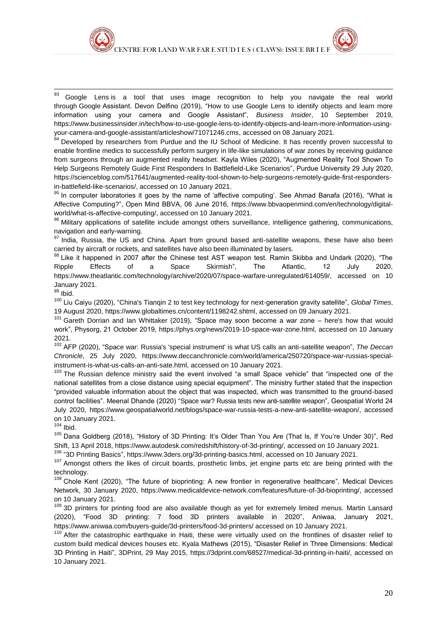<sup>93</sup> Google Lens is a tool that uses image recognition to help you navigate the real world through Google Assistant. Devon Delfino (2019), "How to use Google Lens to identify objects and learn more information using your camera and Google Assistant", *Business Insider*, 10 September 2019, [https://www.businessinsider.in/tech/how-to-use-google-lens-to-identify-objects-and-learn-more-information-using](https://www.businessinsider.in/tech/how-to-use-google-lens-to-identify-objects-and-learn-more-information-using-your-camera-and-google-assistant/articleshow/71071246.cms)[your-camera-and-google-assistant/articleshow/71071246.cms,](https://www.businessinsider.in/tech/how-to-use-google-lens-to-identify-objects-and-learn-more-information-using-your-camera-and-google-assistant/articleshow/71071246.cms) accessed on 08 January 2021.

<sup>94</sup> Developed by researchers from Purdue and the IU School of Medicine. It has recently proven successful to enable frontline medics to successfully perform surgery in life-like simulations of war zones by receiving guidance from surgeons through an augmented reality headset. Kayla Wiles (2020), "Augmented Reality Tool Shown To Help Surgeons Remotely Guide First Responders In Battlefield-Like Scenarios", Purdue University 29 July 2020, [https://scienceblog.com/517641/augmented-reality-tool-shown-to-help-surgeons-remotely-guide-first-responders](https://scienceblog.com/517641/augmented-reality-tool-shown-to-help-surgeons-remotely-guide-first-responders-in-battlefield-like-scenarios/)[in-battlefield-like-scenarios/,](https://scienceblog.com/517641/augmented-reality-tool-shown-to-help-surgeons-remotely-guide-first-responders-in-battlefield-like-scenarios/) accessed on 10 January 2021.

95 In computer laboratories it goes by the name of 'affective computing'. See Ahmad Banafa (2016), "What is Affective Computing?", Open Mind BBVA, 06 June 2016, [https://www.bbvaopenmind.com/en/technology/digital](https://www.bbvaopenmind.com/en/technology/digital-world/what-is-affective-computing/)[world/what-is-affective-computing/,](https://www.bbvaopenmind.com/en/technology/digital-world/what-is-affective-computing/) accessed on 10 January 2021.

96 Military applications of satellite include amongst others surveillance, intelligence gathering, communications, navigation and early-warning.

97 India. Russia, the US and China. Apart from ground based anti-satellite weapons, these have also been carried by aircraft or rockets, and satellites have also been illuminated by lasers.

 $98$  Like it happened in 2007 after the Chinese test AST weapon test. Ramin Skibba and Undark (2020), "The Ripple Effects of a Space Skirmish", The Atlantic, 12 July 2020, [https://www.theatlantic.com/technology/archive/2020/07/space-warfare-unregulated/614059/,](https://www.theatlantic.com/technology/archive/2020/07/space-warfare-unregulated/614059/) accessed on 10 January 2021.

 $99$  Ibid.

1

<sup>100</sup> Liu Caiyu (2020), "China's Tianqin 2 to test key technology for next-generation gravity satellite", *Global Times*, 19 August 2020, [https://www.globaltimes.cn/content/1198242.shtml,](https://www.globaltimes.cn/content/1198242.shtml) accessed on 09 January 2021.

<sup>101</sup> Gareth Dorrian and Ian Whittaker (2019), "Space may soon become a war zone – here's how that would work", Physorg, 21 October 2019, [https://phys.org/news/2019-10-space-war-zone.html,](https://phys.org/news/2019-10-space-war-zone.html) accessed on 10 January 2021.

<sup>102</sup> AFP (2020), "Space war: Russia's 'special instrument' is what US calls an anti-satellite weapon", *The Deccan Chronicle*, 25 July 2020, [https://www.deccanchronicle.com/world/america/250720/space-war-russias-special](https://www.deccanchronicle.com/world/america/250720/space-war-russias-special-instrument-is-what-us-calls-an-anti-sate.html)[instrument-is-what-us-calls-an-anti-sate.html,](https://www.deccanchronicle.com/world/america/250720/space-war-russias-special-instrument-is-what-us-calls-an-anti-sate.html) accessed on 10 January 2021.

<sup>103</sup> The Russian defence ministry said the event involved "a small Space vehicle" that "inspected one of the national satellites from a close distance using special equipment". The ministry further stated that the inspection "provided valuable information about the object that was inspected, which was transmitted to the ground-based control facilities". Meenal Dhande (2020) "Space war? Russia tests new anti-satellite weapon", Geospatial World 24 July 2020, [https://www.geospatialworld.net/blogs/space-war-russia-tests-a-new-anti-satellite-weapon/,](https://www.geospatialworld.net/blogs/space-war-russia-tests-a-new-anti-satellite-weapon/) accessed on 10 January 2021.

 $104$  Ibid.

<sup>105</sup> Dana Goldberg (2018), "History of 3D Printing: It's Older Than You Are (That Is, If You're Under 30)", Red Shift, 13 April 2018, [https://www.autodesk.com/redshift/history-of-3d-printing/,](https://www.autodesk.com/redshift/history-of-3d-printing/) accessed on 10 January 2021.

<sup>106</sup> "3D Printing Basics", [https://www.3ders.org/3d-printing-basics.html, a](https://www.3ders.org/3d-printing-basics.html)ccessed on 10 January 2021.

<sup>107</sup> Amongst others the likes of circuit boards, prosthetic limbs, jet engine parts etc are being printed with the technology.

<sup>108</sup> Chole Kent (2020), "The future of bioprinting: A new frontier in regenerative healthcare", Medical Devices Network, 30 January 2020, [https://www.medicaldevice-network.com/features/future-of-3d-bioprinting/,](https://www.medicaldevice-network.com/features/future-of-3d-bioprinting/) accessed on 10 January 2021.

<sup>109</sup> 3D printers for printing food are also available though as yet for extremely limited menus. Martin Lansard (2020), "Food 3D printing: 7 food 3D printers available in 2020", Aniwaa, January 2021, <https://www.aniwaa.com/buyers-guide/3d-printers/food-3d-printers/> accessed on 10 January 2021.

<sup>110</sup> After the catastrophic earthquake in Haiti, these were virtually used on the frontlines of disaster relief to custom build medical devices houses etc. Kyala Mathews (2015), "Disaster Relief in Three Dimensions: Medical 3D Printing in Haiti", 3DPrint, 29 May 2015, [https://3dprint.com/68527/medical-3d-printing-in-haiti/,](https://3dprint.com/68527/medical-3d-printing-in-haiti/) accessed on 10 January 2021.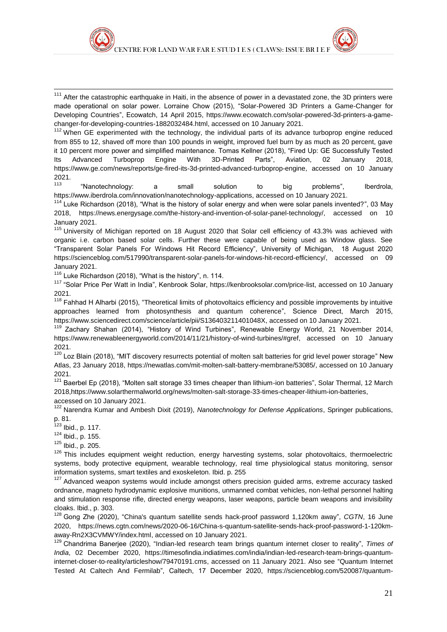<sup>111</sup> After the catastrophic earthquake in Haiti, in the absence of power in a devastated zone, the 3D printers were made operational on solar power. Lorraine Chow (2015), "Solar-Powered 3D Printers a Game-Changer for Developing Countries", Ecowatch, 14 April 2015, [https://www.ecowatch.com/solar-powered-3d-printers-a-game](https://www.ecowatch.com/solar-powered-3d-printers-a-game-changer-for-developing-countries-1882032484.html)[changer-for-developing-countries-1882032484.html,](https://www.ecowatch.com/solar-powered-3d-printers-a-game-changer-for-developing-countries-1882032484.html) accessed on 10 January 2021.

<sup>112</sup> When GE experimented with the technology, the individual parts of its advance turboprop engine reduced from 855 to 12, shaved off more than 100 pounds in weight, improved fuel burn by as much as 20 percent, gave it 10 percent more power and simplified maintenance. Tomas Kellner (2018), "Fired Up: GE Successfully Tested Its Advanced Turboprop Engine With 3D-Printed Parts", Aviation, 02 January 2018, [https://www.ge.com/news/reports/ge-fired-its-3d-printed-advanced-turboprop-engine,](https://www.ge.com/news/reports/ge-fired-its-3d-printed-advanced-turboprop-engine) accessed on 10 January 2021.

<sup>113</sup> "Nanotechnology: a small solution to big problems", Iberdrola, [https://www.iberdrola.com/innovation/nanotechnology-applications,](https://www.iberdrola.com/innovation/nanotechnology-applications) accessed on 10 January 2021.

<sup>114</sup> Luke Richardson (2018), "What is the history of solar energy and when were solar panels invented?", 03 May 2018, [https://news.energysage.com/the-history-and-invention-of-solar-panel-technology/,](https://news.energysage.com/the-history-and-invention-of-solar-panel-technology/) accessed on 10 January 2021.

<sup>115</sup> University of Michigan reported on 18 August 2020 that Solar cell efficiency of 43.3% was achieved with organic i.e. carbon based solar cells. Further these were capable of being used as Window glass. See "Transparent Solar Panels For Windows Hit Record Efficiency", University of Michigan, 18 August 2020 [https://scienceblog.com/517990/transparent-solar-panels-for-windows-hit-record-efficiency/,](https://scienceblog.com/517990/transparent-solar-panels-for-windows-hit-record-efficiency/) accessed on 09 January 2021.

<sup>116</sup> Luke Richardson (2018), "What is the history", n. 114.

<sup>117</sup> "Solar Price Per Watt in India", Kenbrook Solar, [https://kenbrooksolar.com/price-list,](https://kenbrooksolar.com/price-list) accessed on 10 January 2021.

 $118$  Fahhad H Alharbi (2015), "Theoretical limits of photovoltaics efficiency and possible improvements by intuitive approaches learned from photosynthesis and quantum coherence", Science Direct, March 2015, [https://www.sciencedirect.com/science/article/pii/S136403211401048X,](https://www.sciencedirect.com/science/article/pii/S136403211401048X) accessed on 10 January 2021.

Zachary Shahan (2014), "History of Wind Turbines", Renewable Energy World, 21 November 2014, [https://www.renewableenergyworld.com/2014/11/21/history-of-wind-turbines/#gref,](https://www.renewableenergyworld.com/2014/11/21/history-of-wind-turbines/#gref) accessed on 10 January 2021.

<sup>120</sup> Loz Blain (2018), "MIT discovery resurrects potential of molten salt batteries for grid level power storage" New Atlas, 23 January 2018, [https://newatlas.com/mit-molten-salt-battery-membrane/53085/,](https://newatlas.com/mit-molten-salt-battery-membrane/53085/) accessed on 10 January 2021.

<sup>121</sup> Baerbel Ep (2018), "Molten salt storage 33 times cheaper than lithium-ion batteries", Solar Thermal, 12 March 201[8,https://www.solarthermalworld.org/news/molten-salt-storage-33-times-cheaper-lithium-ion-batteries,](https://www.solarthermalworld.org/news/molten-salt-storage-33-times-cheaper-lithium-ion-batteries) accessed on 10 January 2021.

<sup>122</sup> Narendra Kumar and Ambesh Dixit (2019), *Nanotechnology for Defense Applications*, Springer publications, p. 81.

 $123$  Ibid., p. 117.

1

<sup>124</sup> Ibid., p. 155.

<sup>125</sup> Ibid., p. 205.

 $126$  This includes equipment weight reduction, energy harvesting systems, solar photovoltaics, thermoelectric systems, body protective equipment, wearable technology, real time physiological status monitoring, sensor information systems, smart textiles and exoskeleton. Ibid. p. 255

<sup>127</sup> Advanced weapon systems would include amongst others precision guided arms, extreme accuracy tasked ordnance, magneto hydrodynamic explosive munitions, unmanned combat vehicles, non-lethal personnel halting and stimulation response rifle, directed energy weapons, laser weapons, particle beam weapons and invisibility cloaks. Ibid., p. 303.

<sup>128</sup> Gong Zhe (2020), "China's quantum satellite sends hack-proof password 1,120km away", *CGTN*, 16 June 2020, [https://news.cgtn.com/news/2020-06-16/China-s-quantum-satellite-sends-hack-proof-password-1-120km](https://news.cgtn.com/news/2020-06-16/China-s-quantum-satellite-sends-hack-proof-password-1-120km-away-Rn2X3CVMWY/index.html)[away-Rn2X3CVMWY/index.html,](https://news.cgtn.com/news/2020-06-16/China-s-quantum-satellite-sends-hack-proof-password-1-120km-away-Rn2X3CVMWY/index.html) accessed on 10 January 2021.

<sup>129</sup> Chandrima Banerjee (2020), "Indian-led research team brings quantum internet closer to reality", *Times of India*, 02 December 2020, [https://timesofindia.indiatimes.com/india/indian-led-research-team-brings-quantum](https://timesofindia.indiatimes.com/india/indian-led-research-team-brings-quantum-internet-closer-to-reality/articleshow/79470191.cms)[internet-closer-to-reality/articleshow/79470191.cms,](https://timesofindia.indiatimes.com/india/indian-led-research-team-brings-quantum-internet-closer-to-reality/articleshow/79470191.cms) accessed on 11 January 2021. Also see "Quantum Internet Tested At Caltech And Fermilab", Caltech, 17 December 2020, [https://scienceblog.com/520087/quantum-](https://scienceblog.com/520087/quantum-internet-tested-at-caltech-and-fermilab/)